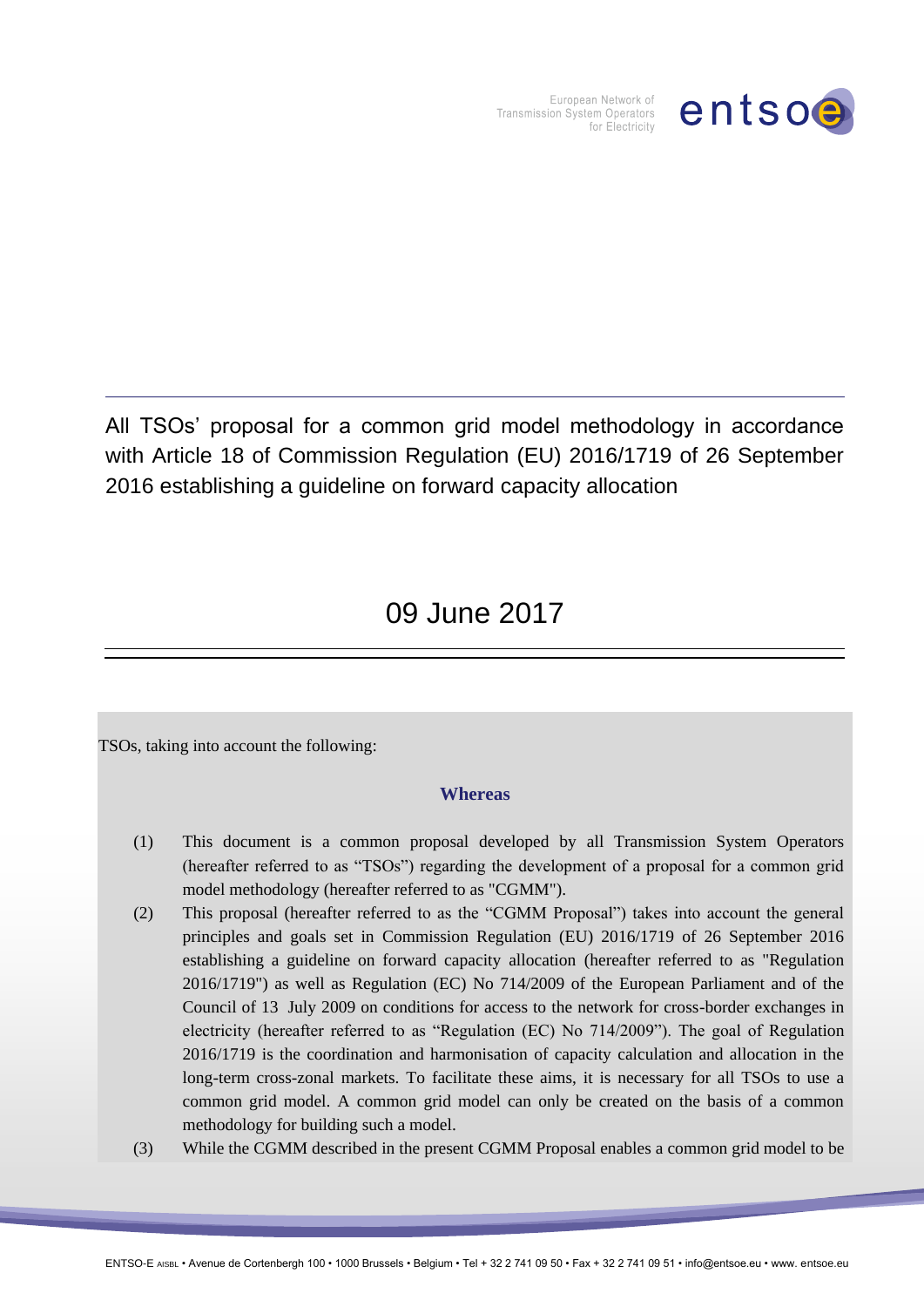

European Network of Transmission System Operators for Electricity

All TSOs' proposal for a common grid model methodology in accordance with Article 18 of Commission Regulation (EU) 2016/1719 of 26 September 2016 establishing a guideline on forward capacity allocation

# 09 June 2017

TSOs, taking into account the following:

### **Whereas**

- (1) This document is a common proposal developed by all Transmission System Operators (hereafter referred to as "TSOs") regarding the development of a proposal for a common grid model methodology (hereafter referred to as "CGMM").
- (2) This proposal (hereafter referred to as the "CGMM Proposal") takes into account the general principles and goals set in Commission Regulation (EU) 2016/1719 of 26 September 2016 establishing a guideline on forward capacity allocation (hereafter referred to as "Regulation 2016/1719") as well as Regulation (EC) No 714/2009 of the European Parliament and of the Council of 13 July 2009 on conditions for access to the network for cross-border exchanges in electricity (hereafter referred to as "Regulation (EC) No 714/2009"). The goal of Regulation 2016/1719 is the coordination and harmonisation of capacity calculation and allocation in the long-term cross-zonal markets. To facilitate these aims, it is necessary for all TSOs to use a common grid model. A common grid model can only be created on the basis of a common methodology for building such a model.
- (3) While the CGMM described in the present CGMM Proposal enables a common grid model to be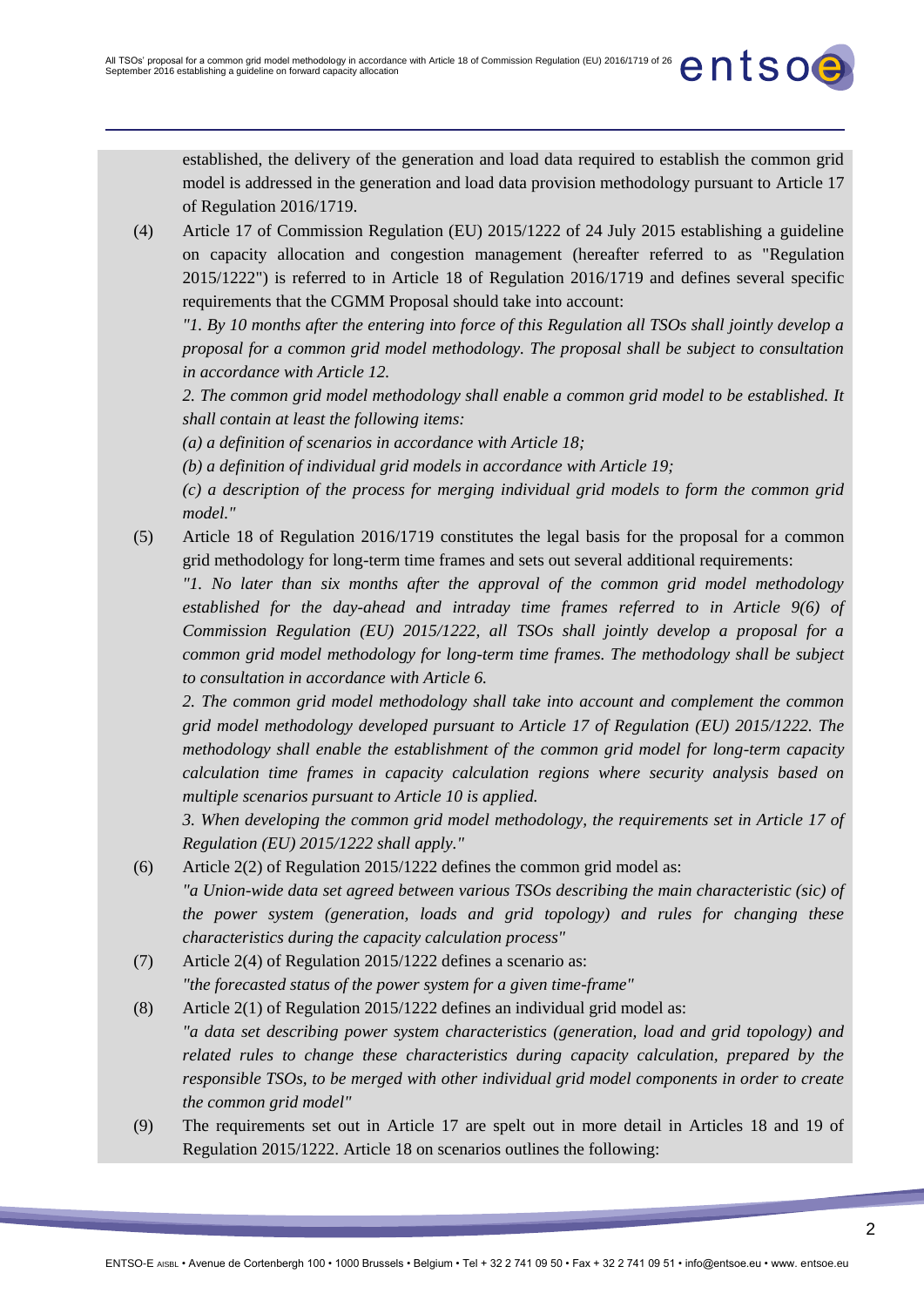established, the delivery of the generation and load data required to establish the common grid model is addressed in the generation and load data provision methodology pursuant to Article 17 of Regulation 2016/1719.

(4) Article 17 of Commission Regulation (EU) 2015/1222 of 24 July 2015 establishing a guideline on capacity allocation and congestion management (hereafter referred to as "Regulation 2015/1222") is referred to in Article 18 of Regulation 2016/1719 and defines several specific requirements that the CGMM Proposal should take into account:

*"1. By 10 months after the entering into force of this Regulation all TSOs shall jointly develop a proposal for a common grid model methodology. The proposal shall be subject to consultation in accordance with Article 12.* 

*2. The common grid model methodology shall enable a common grid model to be established. It shall contain at least the following items:* 

*(a) a definition of scenarios in accordance with Article 18;* 

*(b) a definition of individual grid models in accordance with Article 19;* 

*(c) a description of the process for merging individual grid models to form the common grid model."*

(5) Article 18 of Regulation 2016/1719 constitutes the legal basis for the proposal for a common grid methodology for long-term time frames and sets out several additional requirements:

*"1. No later than six months after the approval of the common grid model methodology established for the day-ahead and intraday time frames referred to in Article 9(6) of Commission Regulation (EU) 2015/1222, all TSOs shall jointly develop a proposal for a common grid model methodology for long-term time frames. The methodology shall be subject to consultation in accordance with Article 6.* 

*2. The common grid model methodology shall take into account and complement the common grid model methodology developed pursuant to Article 17 of Regulation (EU) 2015/1222. The methodology shall enable the establishment of the common grid model for long-term capacity calculation time frames in capacity calculation regions where security analysis based on multiple scenarios pursuant to Article 10 is applied.* 

*3. When developing the common grid model methodology, the requirements set in Article 17 of Regulation (EU) 2015/1222 shall apply."*

- (6) Article 2(2) of Regulation 2015/1222 defines the common grid model as: *"a Union-wide data set agreed between various TSOs describing the main characteristic (sic) of the power system (generation, loads and grid topology) and rules for changing these characteristics during the capacity calculation process"*
- (7) Article 2(4) of Regulation 2015/1222 defines a scenario as: *"the forecasted status of the power system for a given time-frame"*
- (8) Article 2(1) of Regulation 2015/1222 defines an individual grid model as: *"a data set describing power system characteristics (generation, load and grid topology) and related rules to change these characteristics during capacity calculation, prepared by the responsible TSOs, to be merged with other individual grid model components in order to create the common grid model"*
- (9) The requirements set out in Article 17 are spelt out in more detail in Articles 18 and 19 of Regulation 2015/1222. Article 18 on scenarios outlines the following: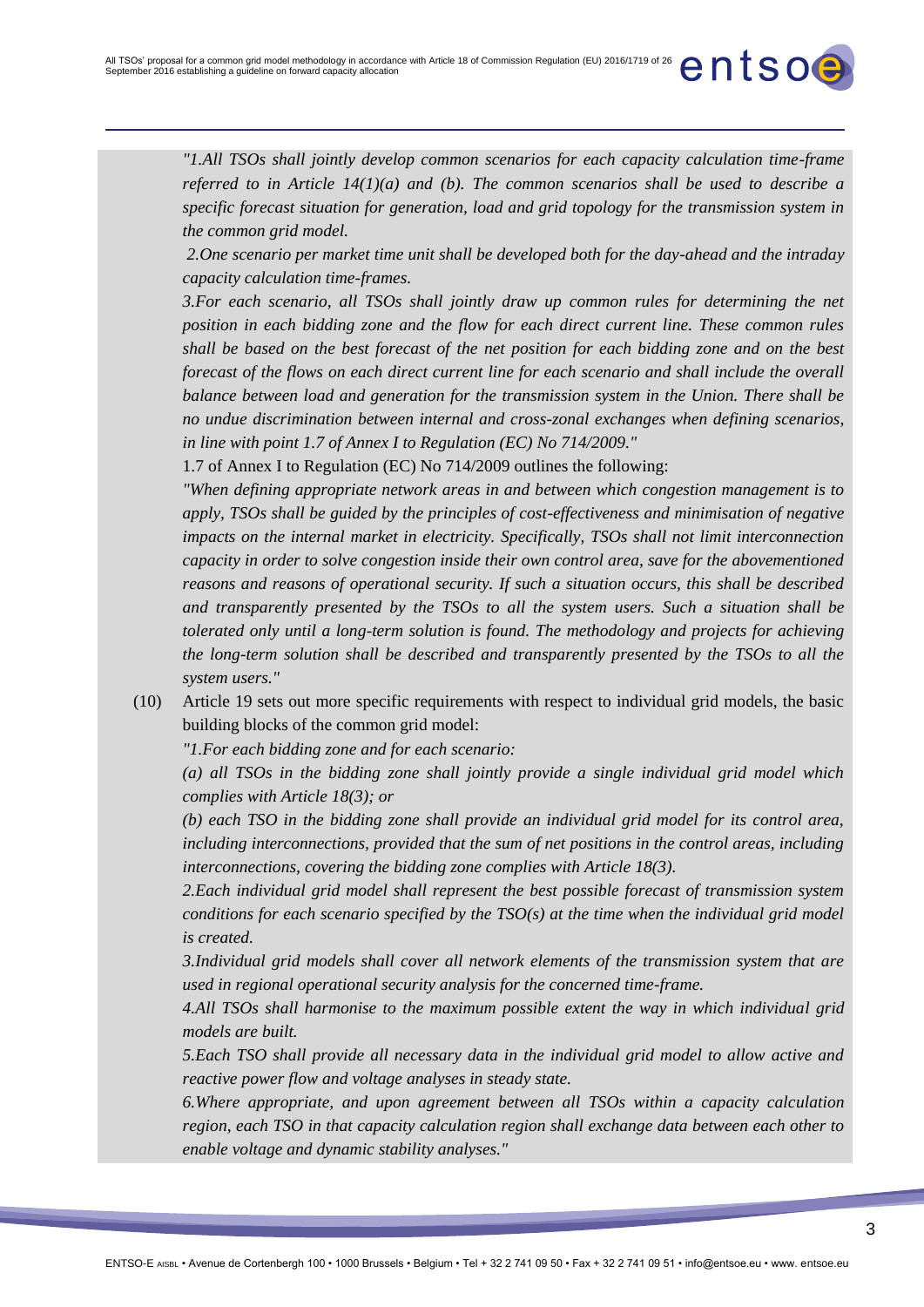*"1.All TSOs shall jointly develop common scenarios for each capacity calculation time-frame referred to in Article 14(1)(a) and (b). The common scenarios shall be used to describe a specific forecast situation for generation, load and grid topology for the transmission system in the common grid model.*

*2.One scenario per market time unit shall be developed both for the day-ahead and the intraday capacity calculation time-frames.* 

*3.For each scenario, all TSOs shall jointly draw up common rules for determining the net position in each bidding zone and the flow for each direct current line. These common rules shall be based on the best forecast of the net position for each bidding zone and on the best forecast of the flows on each direct current line for each scenario and shall include the overall balance between load and generation for the transmission system in the Union. There shall be no undue discrimination between internal and cross-zonal exchanges when defining scenarios, in line with point 1.7 of Annex I to Regulation (EC) No 714/2009."*

1.7 of Annex I to Regulation (EC) No 714/2009 outlines the following:

*"When defining appropriate network areas in and between which congestion management is to apply, TSOs shall be guided by the principles of cost-effectiveness and minimisation of negative impacts on the internal market in electricity. Specifically, TSOs shall not limit interconnection capacity in order to solve congestion inside their own control area, save for the abovementioned reasons and reasons of operational security. If such a situation occurs, this shall be described and transparently presented by the TSOs to all the system users. Such a situation shall be tolerated only until a long-term solution is found. The methodology and projects for achieving the long-term solution shall be described and transparently presented by the TSOs to all the system users."*

(10) Article 19 sets out more specific requirements with respect to individual grid models, the basic building blocks of the common grid model:

*"1.For each bidding zone and for each scenario:* 

*(a) all TSOs in the bidding zone shall jointly provide a single individual grid model which complies with Article 18(3); or* 

*(b) each TSO in the bidding zone shall provide an individual grid model for its control area, including interconnections, provided that the sum of net positions in the control areas, including interconnections, covering the bidding zone complies with Article 18(3).*

*2.Each individual grid model shall represent the best possible forecast of transmission system conditions for each scenario specified by the TSO(s) at the time when the individual grid model is created.* 

*3.Individual grid models shall cover all network elements of the transmission system that are used in regional operational security analysis for the concerned time-frame.* 

*4.All TSOs shall harmonise to the maximum possible extent the way in which individual grid models are built.* 

*5.Each TSO shall provide all necessary data in the individual grid model to allow active and reactive power flow and voltage analyses in steady state.*

*6.Where appropriate, and upon agreement between all TSOs within a capacity calculation region, each TSO in that capacity calculation region shall exchange data between each other to enable voltage and dynamic stability analyses."*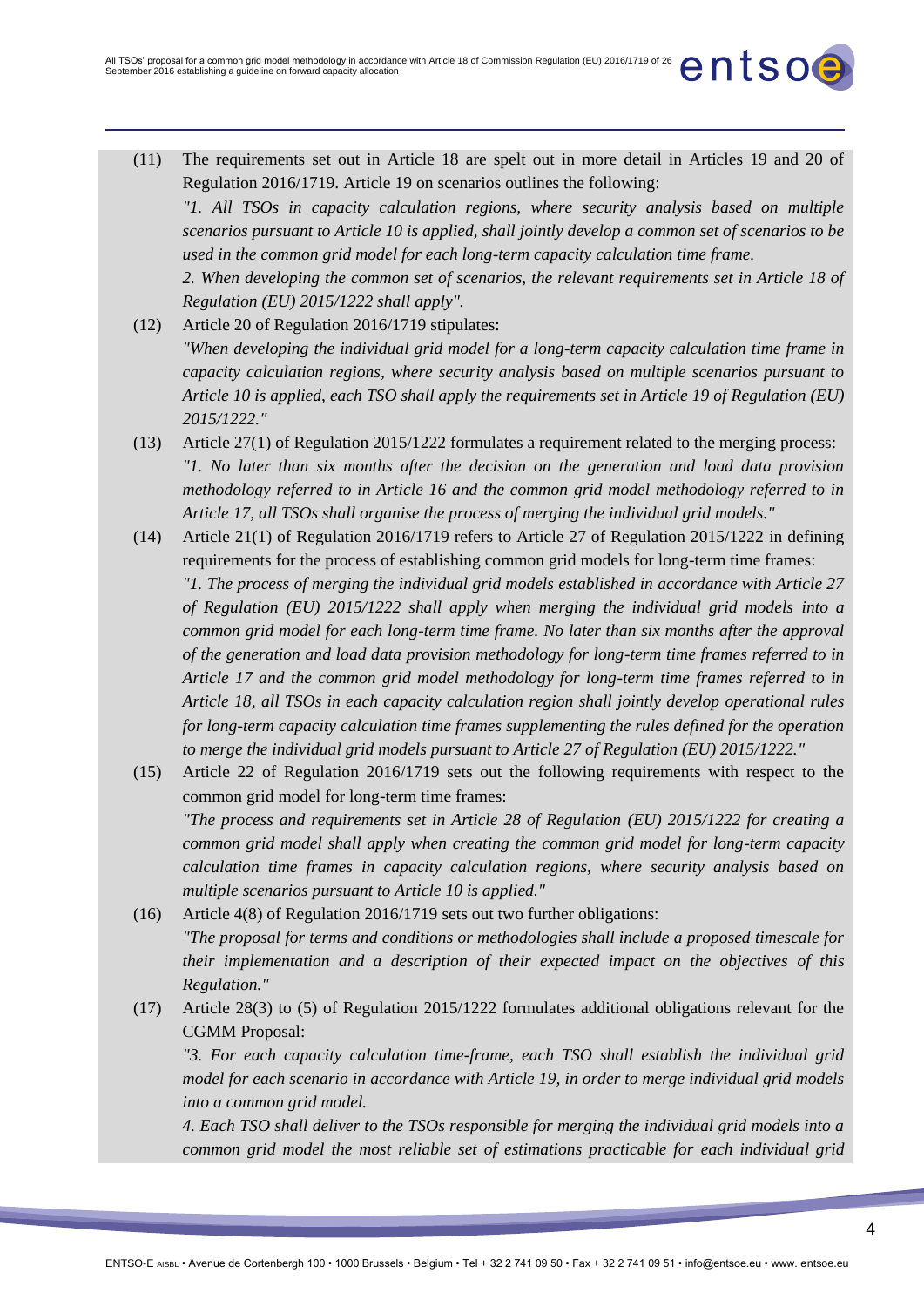- (11) The requirements set out in Article 18 are spelt out in more detail in Articles 19 and 20 of Regulation 2016/1719. Article 19 on scenarios outlines the following: *"1. All TSOs in capacity calculation regions, where security analysis based on multiple scenarios pursuant to Article 10 is applied, shall jointly develop a common set of scenarios to be used in the common grid model for each long-term capacity calculation time frame. 2. When developing the common set of scenarios, the relevant requirements set in Article 18 of Regulation (EU) 2015/1222 shall apply".*
- (12) Article 20 of Regulation 2016/1719 stipulates: *"When developing the individual grid model for a long-term capacity calculation time frame in capacity calculation regions, where security analysis based on multiple scenarios pursuant to Article 10 is applied, each TSO shall apply the requirements set in Article 19 of Regulation (EU) 2015/1222."*
- (13) Article 27(1) of Regulation 2015/1222 formulates a requirement related to the merging process: *"1. No later than six months after the decision on the generation and load data provision methodology referred to in Article 16 and the common grid model methodology referred to in Article 17, all TSOs shall organise the process of merging the individual grid models."*
- (14) Article 21(1) of Regulation 2016/1719 refers to Article 27 of Regulation 2015/1222 in defining requirements for the process of establishing common grid models for long-term time frames: *"1. The process of merging the individual grid models established in accordance with Article 27 of Regulation (EU) 2015/1222 shall apply when merging the individual grid models into a common grid model for each long-term time frame. No later than six months after the approval of the generation and load data provision methodology for long-term time frames referred to in Article 17 and the common grid model methodology for long-term time frames referred to in Article 18, all TSOs in each capacity calculation region shall jointly develop operational rules for long-term capacity calculation time frames supplementing the rules defined for the operation to merge the individual grid models pursuant to Article 27 of Regulation (EU) 2015/1222."*
- (15) Article 22 of Regulation 2016/1719 sets out the following requirements with respect to the common grid model for long-term time frames: *"The process and requirements set in Article 28 of Regulation (EU) 2015/1222 for creating a common grid model shall apply when creating the common grid model for long-term capacity calculation time frames in capacity calculation regions, where security analysis based on multiple scenarios pursuant to Article 10 is applied."*
- (16) Article 4(8) of Regulation 2016/1719 sets out two further obligations: *"The proposal for terms and conditions or methodologies shall include a proposed timescale for their implementation and a description of their expected impact on the objectives of this Regulation."*
- (17) Article 28(3) to (5) of Regulation 2015/1222 formulates additional obligations relevant for the CGMM Proposal:

*"3. For each capacity calculation time-frame, each TSO shall establish the individual grid model for each scenario in accordance with Article 19, in order to merge individual grid models into a common grid model.*

*4. Each TSO shall deliver to the TSOs responsible for merging the individual grid models into a common grid model the most reliable set of estimations practicable for each individual grid*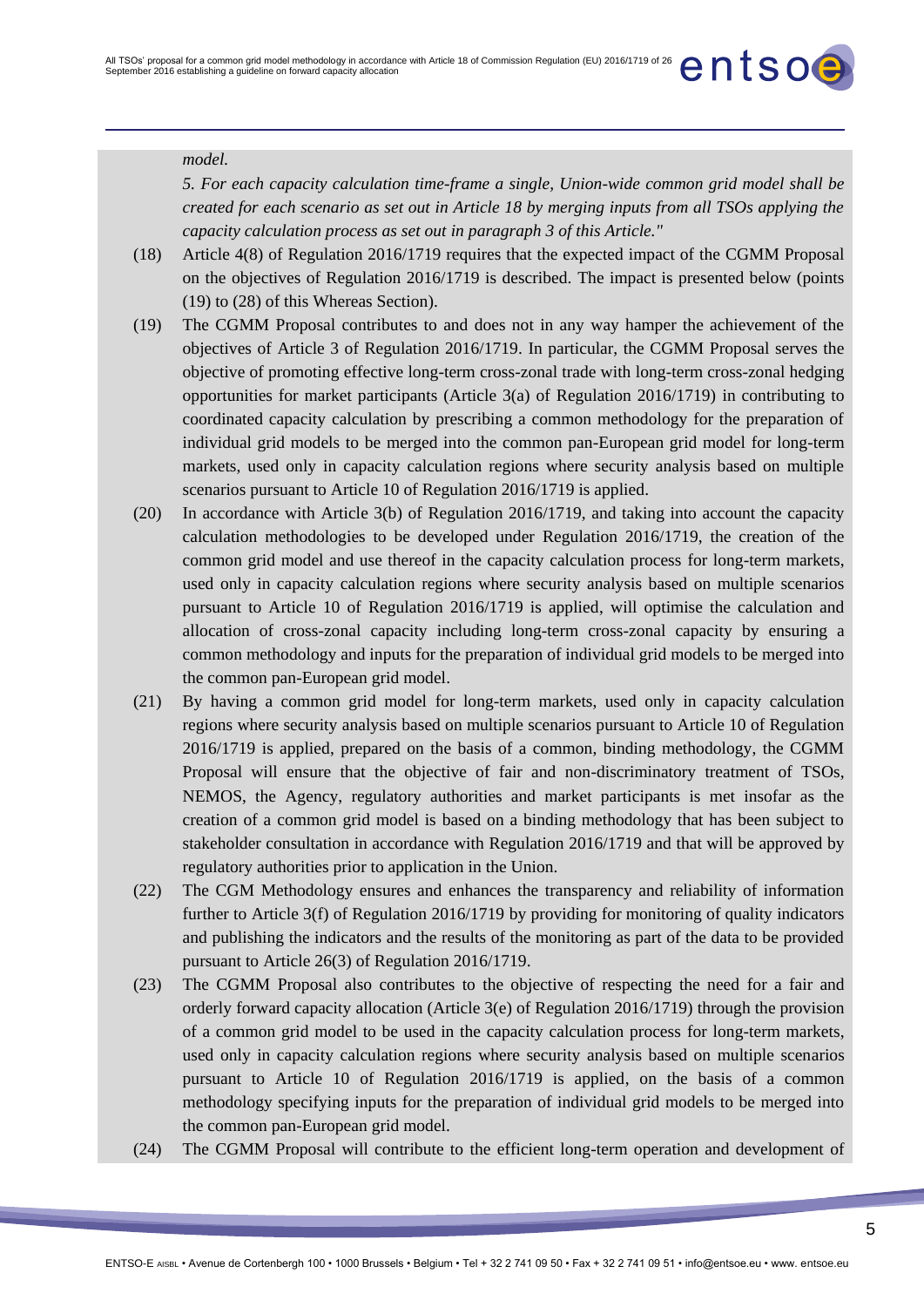#### *model.*

*5. For each capacity calculation time-frame a single, Union-wide common grid model shall be created for each scenario as set out in Article 18 by merging inputs from all TSOs applying the capacity calculation process as set out in paragraph 3 of this Article."*

- (18) Article 4(8) of Regulation 2016/1719 requires that the expected impact of the CGMM Proposal on the objectives of Regulation 2016/1719 is described. The impact is presented below (points (19) to (28) of this Whereas Section).
- (19) The CGMM Proposal contributes to and does not in any way hamper the achievement of the objectives of Article 3 of Regulation 2016/1719. In particular, the CGMM Proposal serves the objective of promoting effective long-term cross-zonal trade with long-term cross-zonal hedging opportunities for market participants (Article 3(a) of Regulation 2016/1719) in contributing to coordinated capacity calculation by prescribing a common methodology for the preparation of individual grid models to be merged into the common pan-European grid model for long-term markets, used only in capacity calculation regions where security analysis based on multiple scenarios pursuant to Article 10 of Regulation 2016/1719 is applied.
- (20) In accordance with Article 3(b) of Regulation 2016/1719, and taking into account the capacity calculation methodologies to be developed under Regulation 2016/1719, the creation of the common grid model and use thereof in the capacity calculation process for long-term markets, used only in capacity calculation regions where security analysis based on multiple scenarios pursuant to Article 10 of Regulation 2016/1719 is applied, will optimise the calculation and allocation of cross-zonal capacity including long-term cross-zonal capacity by ensuring a common methodology and inputs for the preparation of individual grid models to be merged into the common pan-European grid model.
- (21) By having a common grid model for long-term markets, used only in capacity calculation regions where security analysis based on multiple scenarios pursuant to Article 10 of Regulation 2016/1719 is applied, prepared on the basis of a common, binding methodology, the CGMM Proposal will ensure that the objective of fair and non-discriminatory treatment of TSOs, NEMOS, the Agency, regulatory authorities and market participants is met insofar as the creation of a common grid model is based on a binding methodology that has been subject to stakeholder consultation in accordance with Regulation 2016/1719 and that will be approved by regulatory authorities prior to application in the Union.
- (22) The CGM Methodology ensures and enhances the transparency and reliability of information further to Article 3(f) of Regulation 2016/1719 by providing for monitoring of quality indicators and publishing the indicators and the results of the monitoring as part of the data to be provided pursuant to Article 26(3) of Regulation 2016/1719.
- (23) The CGMM Proposal also contributes to the objective of respecting the need for a fair and orderly forward capacity allocation (Article 3(e) of Regulation 2016/1719) through the provision of a common grid model to be used in the capacity calculation process for long-term markets, used only in capacity calculation regions where security analysis based on multiple scenarios pursuant to Article 10 of Regulation 2016/1719 is applied, on the basis of a common methodology specifying inputs for the preparation of individual grid models to be merged into the common pan-European grid model.
- (24) The CGMM Proposal will contribute to the efficient long-term operation and development of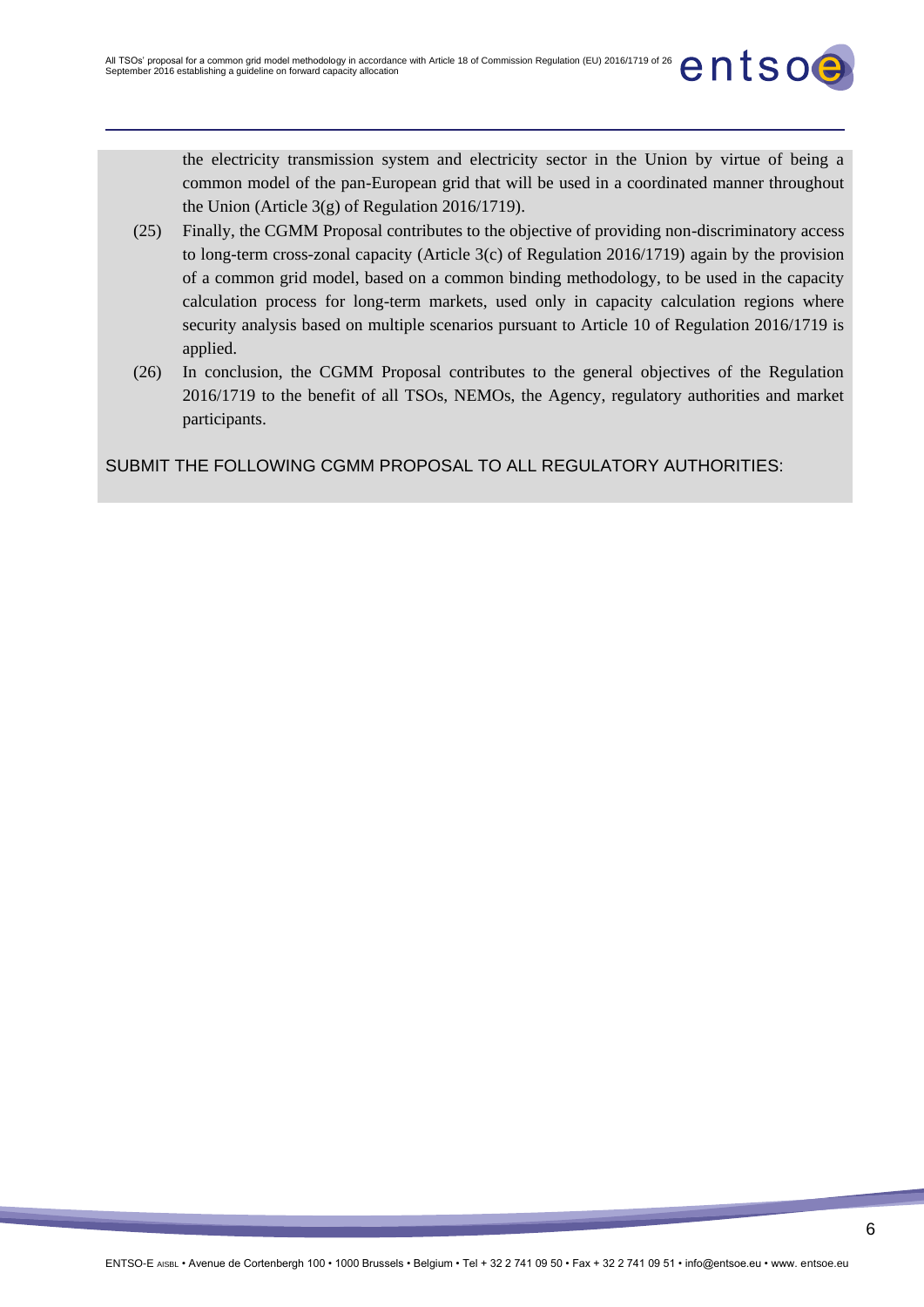the electricity transmission system and electricity sector in the Union by virtue of being a common model of the pan-European grid that will be used in a coordinated manner throughout the Union (Article 3(g) of Regulation 2016/1719).

- (25) Finally, the CGMM Proposal contributes to the objective of providing non-discriminatory access to long-term cross-zonal capacity (Article 3(c) of Regulation 2016/1719) again by the provision of a common grid model, based on a common binding methodology, to be used in the capacity calculation process for long-term markets, used only in capacity calculation regions where security analysis based on multiple scenarios pursuant to Article 10 of Regulation 2016/1719 is applied.
- (26) In conclusion, the CGMM Proposal contributes to the general objectives of the Regulation 2016/1719 to the benefit of all TSOs, NEMOs, the Agency, regulatory authorities and market participants.

SUBMIT THE FOLLOWING CGMM PROPOSAL TO ALL REGULATORY AUTHORITIES: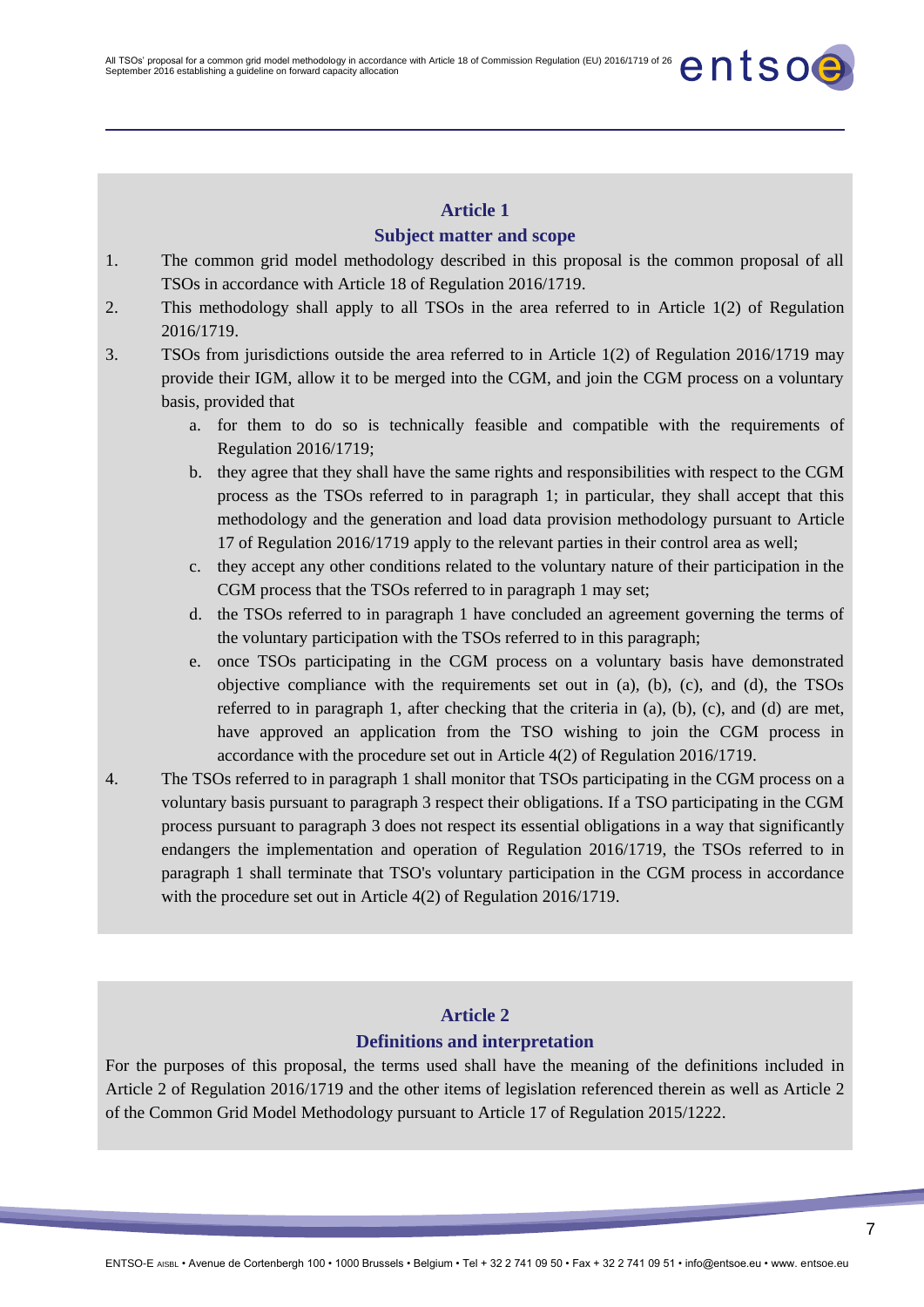#### **Subject matter and scope**

- 1. The common grid model methodology described in this proposal is the common proposal of all TSOs in accordance with Article 18 of Regulation 2016/1719.
- 2. This methodology shall apply to all TSOs in the area referred to in Article 1(2) of Regulation 2016/1719.
- 3. TSOs from jurisdictions outside the area referred to in Article 1(2) of Regulation 2016/1719 may provide their IGM, allow it to be merged into the CGM, and join the CGM process on a voluntary basis, provided that
	- a. for them to do so is technically feasible and compatible with the requirements of Regulation 2016/1719;
	- b. they agree that they shall have the same rights and responsibilities with respect to the CGM process as the TSOs referred to in paragraph 1; in particular, they shall accept that this methodology and the generation and load data provision methodology pursuant to Article 17 of Regulation 2016/1719 apply to the relevant parties in their control area as well;
	- c. they accept any other conditions related to the voluntary nature of their participation in the CGM process that the TSOs referred to in paragraph 1 may set;
	- d. the TSOs referred to in paragraph 1 have concluded an agreement governing the terms of the voluntary participation with the TSOs referred to in this paragraph;
	- e. once TSOs participating in the CGM process on a voluntary basis have demonstrated objective compliance with the requirements set out in (a), (b), (c), and (d), the TSOs referred to in paragraph 1, after checking that the criteria in (a), (b), (c), and (d) are met, have approved an application from the TSO wishing to join the CGM process in accordance with the procedure set out in Article 4(2) of Regulation 2016/1719.
- 4. The TSOs referred to in paragraph 1 shall monitor that TSOs participating in the CGM process on a voluntary basis pursuant to paragraph 3 respect their obligations. If a TSO participating in the CGM process pursuant to paragraph 3 does not respect its essential obligations in a way that significantly endangers the implementation and operation of Regulation 2016/1719, the TSOs referred to in paragraph 1 shall terminate that TSO's voluntary participation in the CGM process in accordance with the procedure set out in Article 4(2) of Regulation 2016/1719.

# **Article 2 Definitions and interpretation**

For the purposes of this proposal, the terms used shall have the meaning of the definitions included in Article 2 of Regulation 2016/1719 and the other items of legislation referenced therein as well as Article 2 of the Common Grid Model Methodology pursuant to Article 17 of Regulation 2015/1222.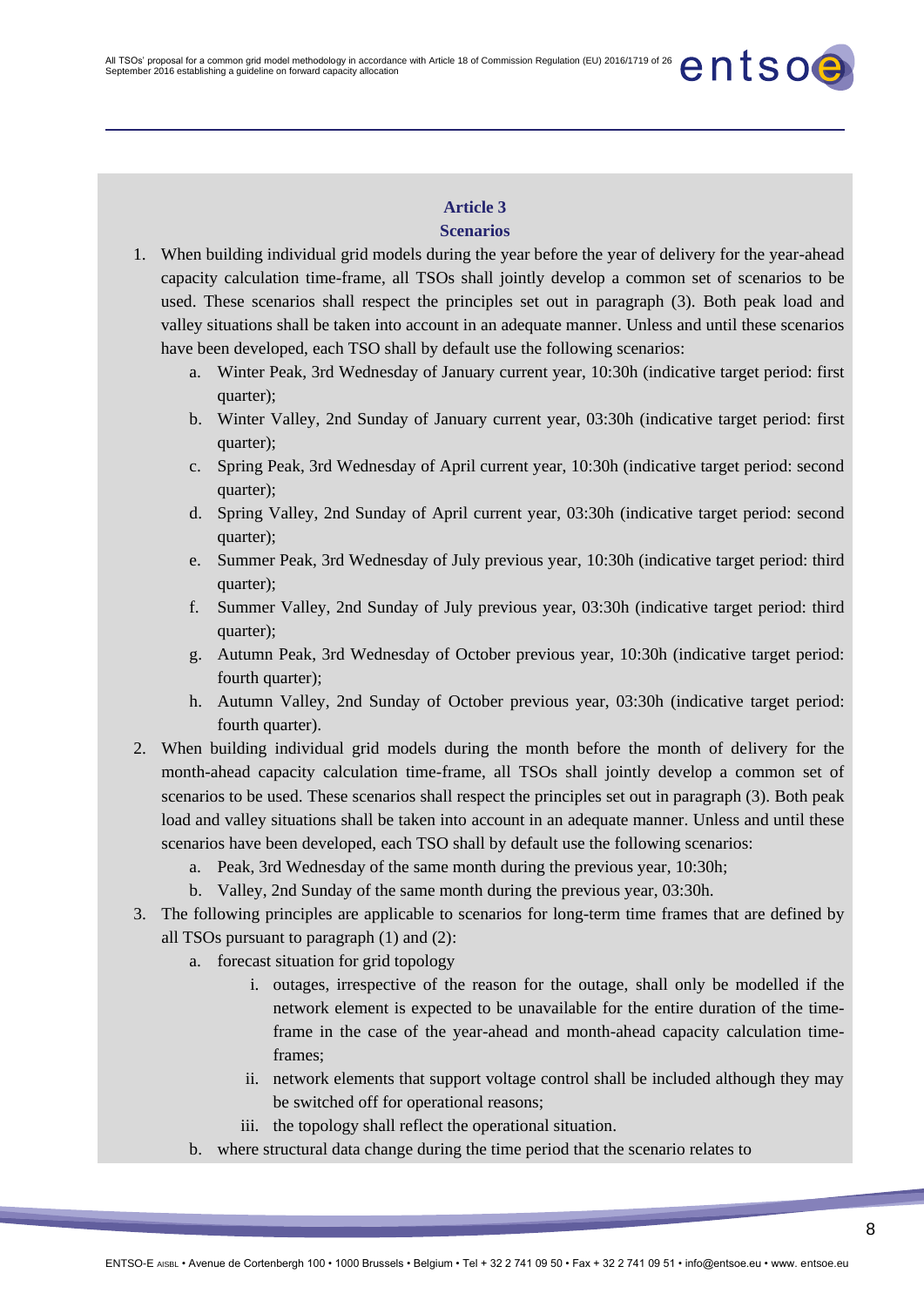#### **Scenarios**

- 1. When building individual grid models during the year before the year of delivery for the year-ahead capacity calculation time-frame, all TSOs shall jointly develop a common set of scenarios to be used. These scenarios shall respect the principles set out in paragraph (3). Both peak load and valley situations shall be taken into account in an adequate manner. Unless and until these scenarios have been developed, each TSO shall by default use the following scenarios:
	- a. Winter Peak, 3rd Wednesday of January current year, 10:30h (indicative target period: first quarter);
	- b. Winter Valley, 2nd Sunday of January current year, 03:30h (indicative target period: first quarter);
	- c. Spring Peak, 3rd Wednesday of April current year, 10:30h (indicative target period: second quarter);
	- d. Spring Valley, 2nd Sunday of April current year, 03:30h (indicative target period: second quarter);
	- e. Summer Peak, 3rd Wednesday of July previous year, 10:30h (indicative target period: third quarter);
	- f. Summer Valley, 2nd Sunday of July previous year, 03:30h (indicative target period: third quarter);
	- g. Autumn Peak, 3rd Wednesday of October previous year, 10:30h (indicative target period: fourth quarter);
	- h. Autumn Valley, 2nd Sunday of October previous year, 03:30h (indicative target period: fourth quarter).
- 2. When building individual grid models during the month before the month of delivery for the month-ahead capacity calculation time-frame, all TSOs shall jointly develop a common set of scenarios to be used. These scenarios shall respect the principles set out in paragraph (3). Both peak load and valley situations shall be taken into account in an adequate manner. Unless and until these scenarios have been developed, each TSO shall by default use the following scenarios:
	- a. Peak, 3rd Wednesday of the same month during the previous year, 10:30h;
	- b. Valley, 2nd Sunday of the same month during the previous year, 03:30h.
- 3. The following principles are applicable to scenarios for long-term time frames that are defined by all TSOs pursuant to paragraph (1) and (2):
	- a. forecast situation for grid topology
		- i. outages, irrespective of the reason for the outage, shall only be modelled if the network element is expected to be unavailable for the entire duration of the timeframe in the case of the year-ahead and month-ahead capacity calculation timeframes;
		- ii. network elements that support voltage control shall be included although they may be switched off for operational reasons;
		- iii. the topology shall reflect the operational situation.
	- b. where structural data change during the time period that the scenario relates to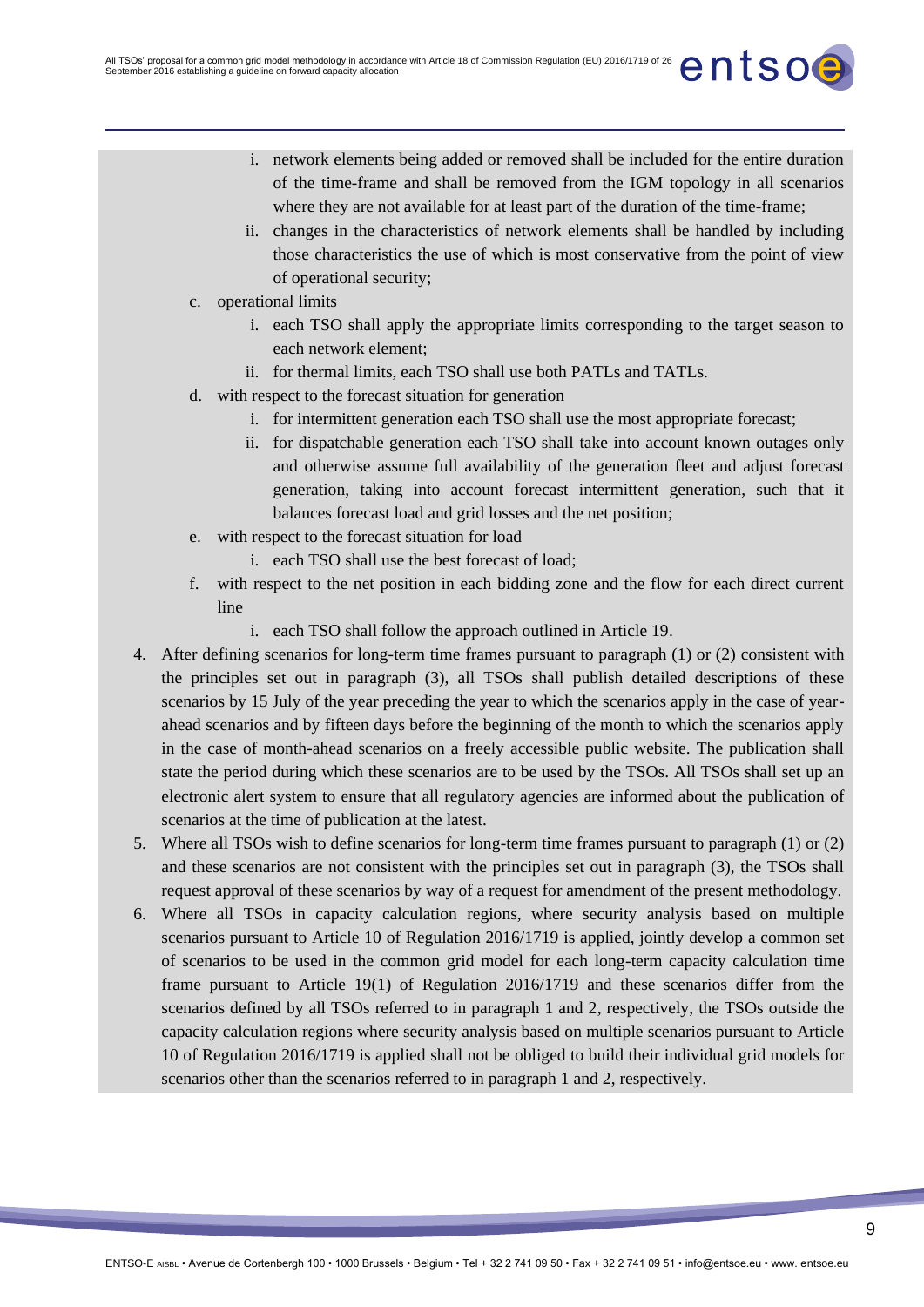- i. network elements being added or removed shall be included for the entire duration of the time-frame and shall be removed from the IGM topology in all scenarios where they are not available for at least part of the duration of the time-frame;
- ii. changes in the characteristics of network elements shall be handled by including those characteristics the use of which is most conservative from the point of view of operational security;
- c. operational limits
	- i. each TSO shall apply the appropriate limits corresponding to the target season to each network element;
	- ii. for thermal limits, each TSO shall use both PATLs and TATLs.
- d. with respect to the forecast situation for generation
	- i. for intermittent generation each TSO shall use the most appropriate forecast;
	- ii. for dispatchable generation each TSO shall take into account known outages only and otherwise assume full availability of the generation fleet and adjust forecast generation, taking into account forecast intermittent generation, such that it balances forecast load and grid losses and the net position;
- e. with respect to the forecast situation for load
	- i. each TSO shall use the best forecast of load;
- f. with respect to the net position in each bidding zone and the flow for each direct current line
	- i. each TSO shall follow the approach outlined in Article 19.
- 4. After defining scenarios for long-term time frames pursuant to paragraph (1) or (2) consistent with the principles set out in paragraph (3), all TSOs shall publish detailed descriptions of these scenarios by 15 July of the year preceding the year to which the scenarios apply in the case of yearahead scenarios and by fifteen days before the beginning of the month to which the scenarios apply in the case of month-ahead scenarios on a freely accessible public website. The publication shall state the period during which these scenarios are to be used by the TSOs. All TSOs shall set up an electronic alert system to ensure that all regulatory agencies are informed about the publication of scenarios at the time of publication at the latest.
- 5. Where all TSOs wish to define scenarios for long-term time frames pursuant to paragraph (1) or (2) and these scenarios are not consistent with the principles set out in paragraph (3), the TSOs shall request approval of these scenarios by way of a request for amendment of the present methodology.
- 6. Where all TSOs in capacity calculation regions, where security analysis based on multiple scenarios pursuant to Article 10 of Regulation 2016/1719 is applied, jointly develop a common set of scenarios to be used in the common grid model for each long-term capacity calculation time frame pursuant to Article 19(1) of Regulation 2016/1719 and these scenarios differ from the scenarios defined by all TSOs referred to in paragraph 1 and 2, respectively, the TSOs outside the capacity calculation regions where security analysis based on multiple scenarios pursuant to Article 10 of Regulation 2016/1719 is applied shall not be obliged to build their individual grid models for scenarios other than the scenarios referred to in paragraph 1 and 2, respectively.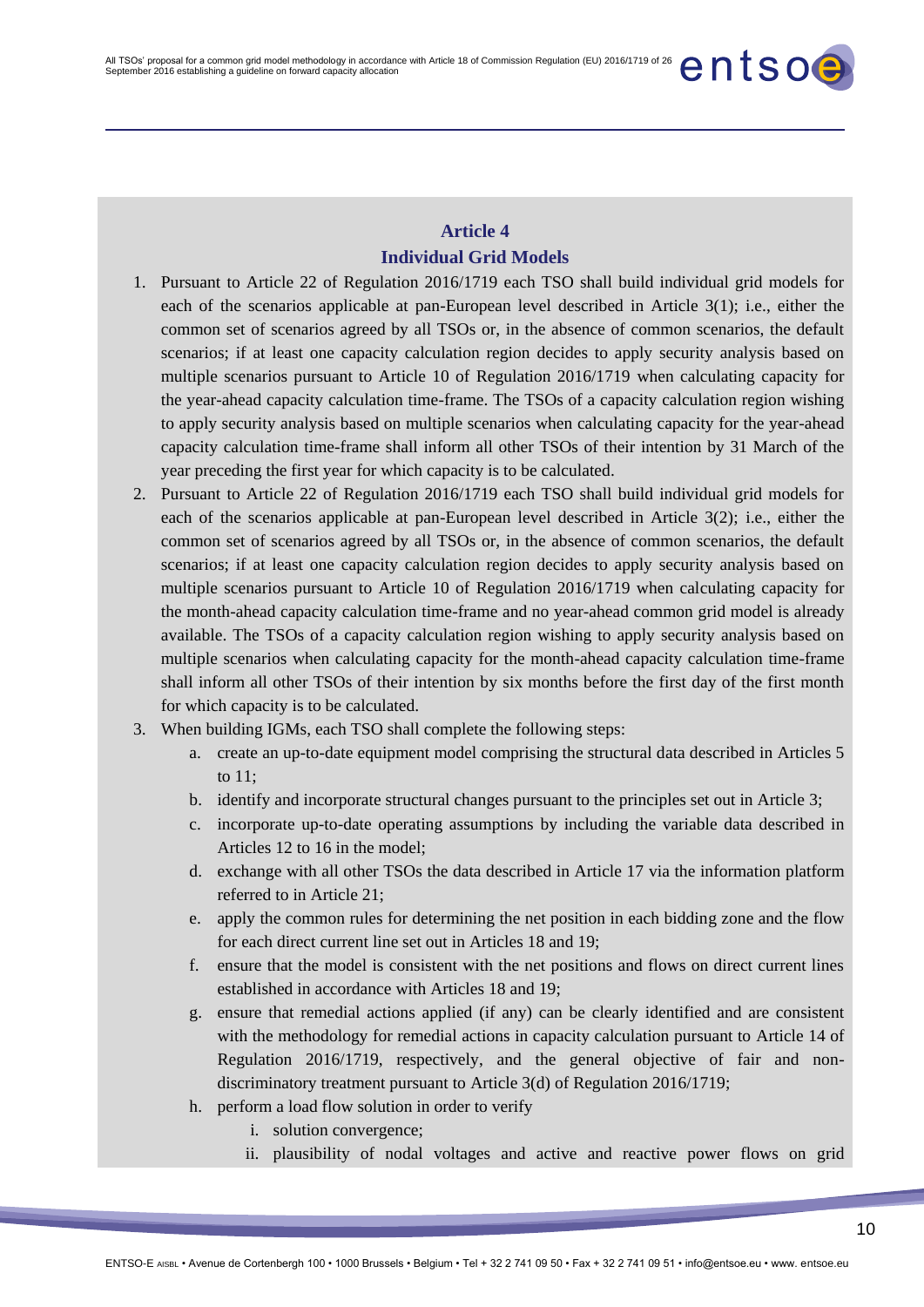# **Article 4 Individual Grid Models**

- 1. Pursuant to Article 22 of Regulation 2016/1719 each TSO shall build individual grid models for each of the scenarios applicable at pan-European level described in Article 3(1); i.e., either the common set of scenarios agreed by all TSOs or, in the absence of common scenarios, the default scenarios; if at least one capacity calculation region decides to apply security analysis based on multiple scenarios pursuant to Article 10 of Regulation 2016/1719 when calculating capacity for the year-ahead capacity calculation time-frame. The TSOs of a capacity calculation region wishing to apply security analysis based on multiple scenarios when calculating capacity for the year-ahead capacity calculation time-frame shall inform all other TSOs of their intention by 31 March of the year preceding the first year for which capacity is to be calculated.
- 2. Pursuant to Article 22 of Regulation 2016/1719 each TSO shall build individual grid models for each of the scenarios applicable at pan-European level described in Article 3(2); i.e., either the common set of scenarios agreed by all TSOs or, in the absence of common scenarios, the default scenarios; if at least one capacity calculation region decides to apply security analysis based on multiple scenarios pursuant to Article 10 of Regulation 2016/1719 when calculating capacity for the month-ahead capacity calculation time-frame and no year-ahead common grid model is already available. The TSOs of a capacity calculation region wishing to apply security analysis based on multiple scenarios when calculating capacity for the month-ahead capacity calculation time-frame shall inform all other TSOs of their intention by six months before the first day of the first month for which capacity is to be calculated.
- 3. When building IGMs, each TSO shall complete the following steps:
	- a. create an up-to-date equipment model comprising the structural data described in Articles 5 to  $11$
	- b. identify and incorporate structural changes pursuant to the principles set out in Article 3;
	- c. incorporate up-to-date operating assumptions by including the variable data described in Articles 12 to 16 in the model;
	- d. exchange with all other TSOs the data described in Article 17 via the information platform referred to in Article 21;
	- e. apply the common rules for determining the net position in each bidding zone and the flow for each direct current line set out in Articles 18 and 19;
	- f. ensure that the model is consistent with the net positions and flows on direct current lines established in accordance with Articles 18 and 19;
	- g. ensure that remedial actions applied (if any) can be clearly identified and are consistent with the methodology for remedial actions in capacity calculation pursuant to Article 14 of Regulation 2016/1719, respectively, and the general objective of fair and nondiscriminatory treatment pursuant to Article 3(d) of Regulation 2016/1719;
	- h. perform a load flow solution in order to verify
		- i. solution convergence;
		- ii. plausibility of nodal voltages and active and reactive power flows on grid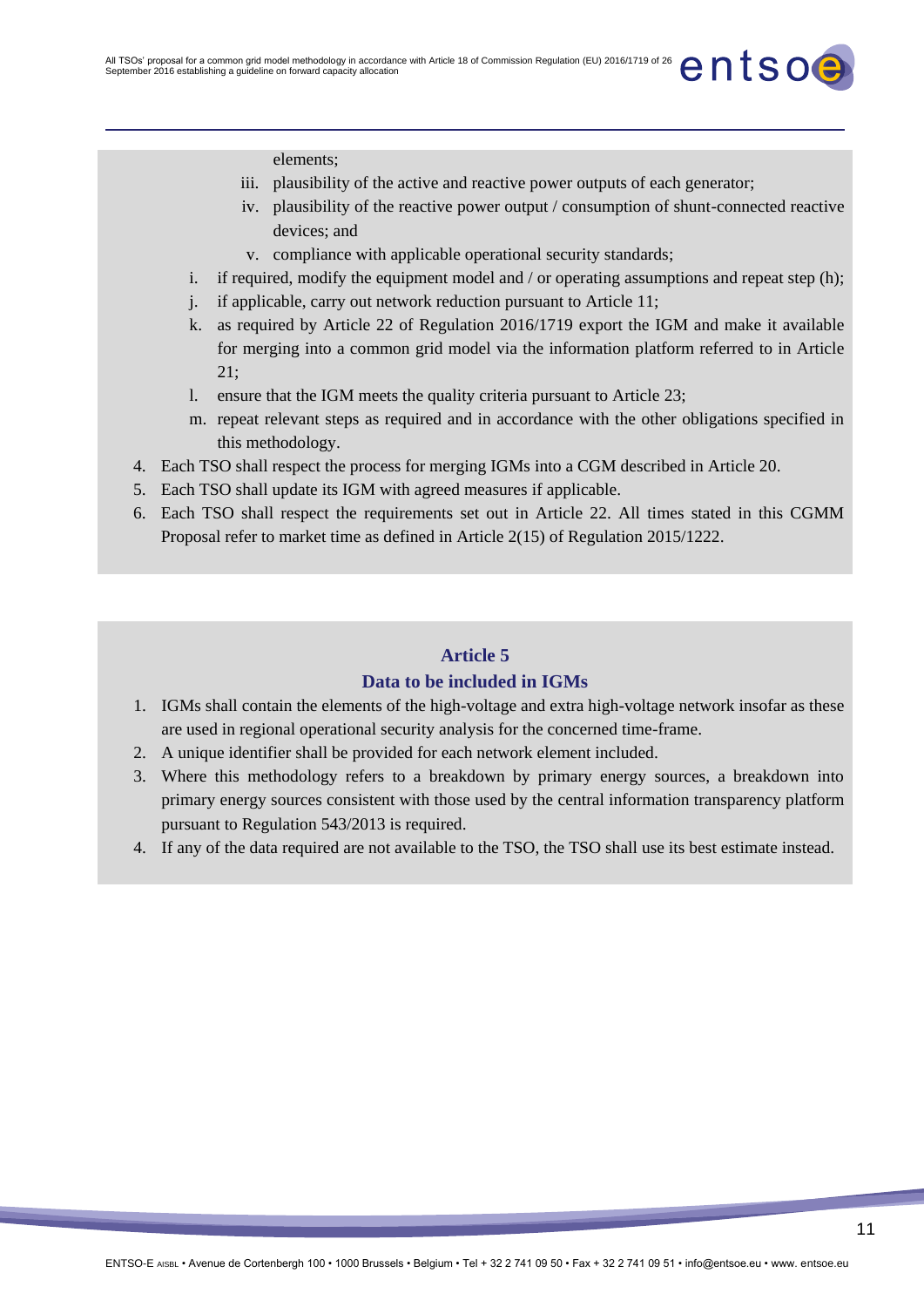elements;

- iii. plausibility of the active and reactive power outputs of each generator;
- iv. plausibility of the reactive power output / consumption of shunt-connected reactive devices; and
- v. compliance with applicable operational security standards;
- i. if required, modify the equipment model and / or operating assumptions and repeat step (h);
- j. if applicable, carry out network reduction pursuant to Article 11;
- k. as required by Article 22 of Regulation 2016/1719 export the IGM and make it available for merging into a common grid model via the information platform referred to in Article  $21:$
- l. ensure that the IGM meets the quality criteria pursuant to Article 23;
- m. repeat relevant steps as required and in accordance with the other obligations specified in this methodology.
- 4. Each TSO shall respect the process for merging IGMs into a CGM described in Article 20.
- 5. Each TSO shall update its IGM with agreed measures if applicable.
- 6. Each TSO shall respect the requirements set out in Article 22. All times stated in this CGMM Proposal refer to market time as defined in Article 2(15) of Regulation 2015/1222.

### **Article 5**

#### **Data to be included in IGMs**

- 1. IGMs shall contain the elements of the high-voltage and extra high-voltage network insofar as these are used in regional operational security analysis for the concerned time-frame.
- 2. A unique identifier shall be provided for each network element included.
- 3. Where this methodology refers to a breakdown by primary energy sources, a breakdown into primary energy sources consistent with those used by the central information transparency platform pursuant to Regulation 543/2013 is required.
- 4. If any of the data required are not available to the TSO, the TSO shall use its best estimate instead.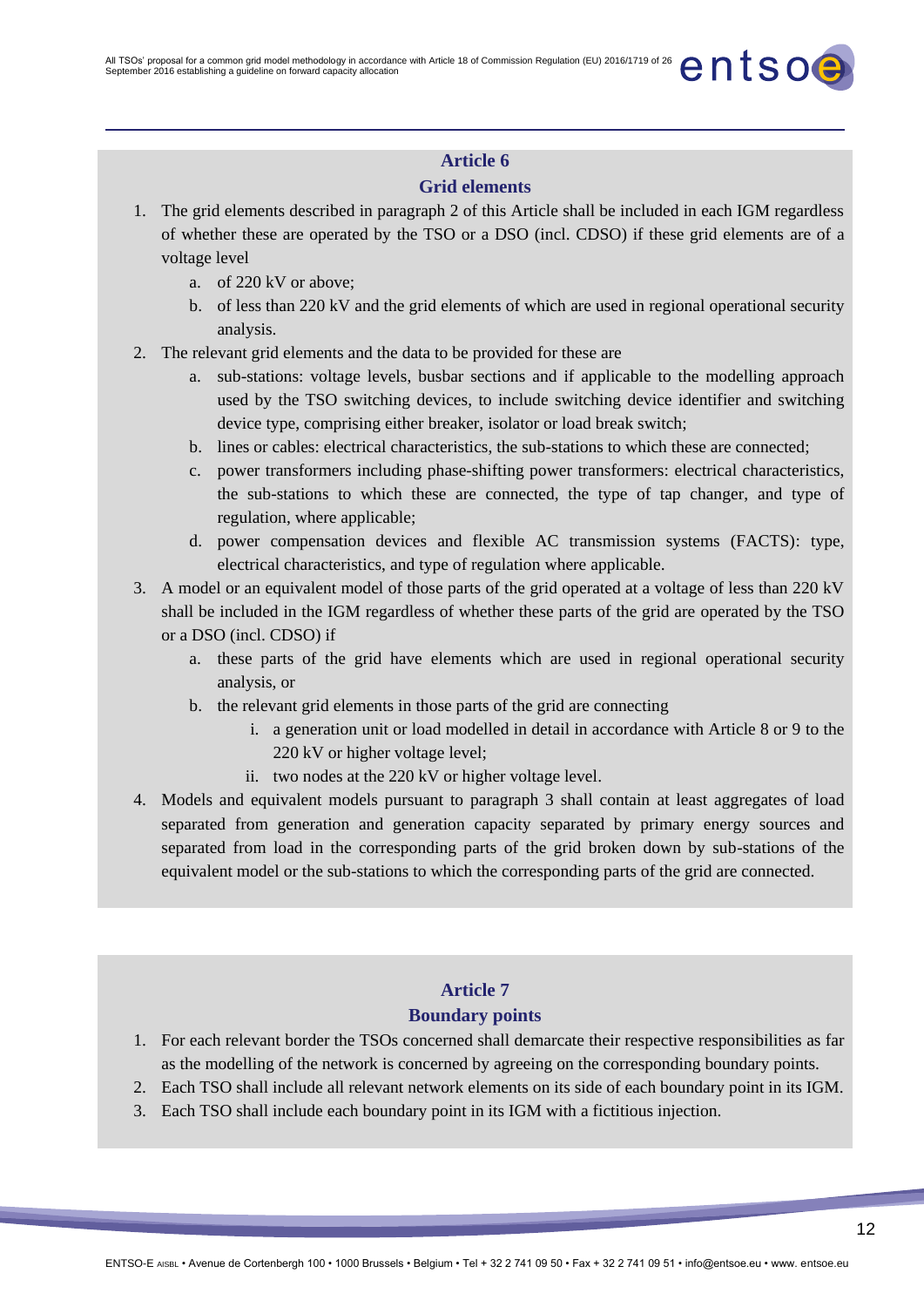### **Grid elements**

- 1. The grid elements described in paragraph 2 of this Article shall be included in each IGM regardless of whether these are operated by the TSO or a DSO (incl. CDSO) if these grid elements are of a voltage level
	- a. of 220 kV or above;
	- b. of less than 220 kV and the grid elements of which are used in regional operational security analysis.
- 2. The relevant grid elements and the data to be provided for these are
	- a. sub-stations: voltage levels, busbar sections and if applicable to the modelling approach used by the TSO switching devices, to include switching device identifier and switching device type, comprising either breaker, isolator or load break switch;
	- b. lines or cables: electrical characteristics, the sub-stations to which these are connected;
	- c. power transformers including phase-shifting power transformers: electrical characteristics, the sub-stations to which these are connected, the type of tap changer, and type of regulation, where applicable;
	- d. power compensation devices and flexible AC transmission systems (FACTS): type, electrical characteristics, and type of regulation where applicable.
- 3. A model or an equivalent model of those parts of the grid operated at a voltage of less than 220 kV shall be included in the IGM regardless of whether these parts of the grid are operated by the TSO or a DSO (incl. CDSO) if
	- a. these parts of the grid have elements which are used in regional operational security analysis, or
	- b. the relevant grid elements in those parts of the grid are connecting
		- i. a generation unit or load modelled in detail in accordance with Article 8 or 9 to the 220 kV or higher voltage level;
		- ii. two nodes at the 220 kV or higher voltage level.
- 4. Models and equivalent models pursuant to paragraph 3 shall contain at least aggregates of load separated from generation and generation capacity separated by primary energy sources and separated from load in the corresponding parts of the grid broken down by sub-stations of the equivalent model or the sub-stations to which the corresponding parts of the grid are connected.

# **Article 7**

### **Boundary points**

- 1. For each relevant border the TSOs concerned shall demarcate their respective responsibilities as far as the modelling of the network is concerned by agreeing on the corresponding boundary points.
- 2. Each TSO shall include all relevant network elements on its side of each boundary point in its IGM.
- 3. Each TSO shall include each boundary point in its IGM with a fictitious injection.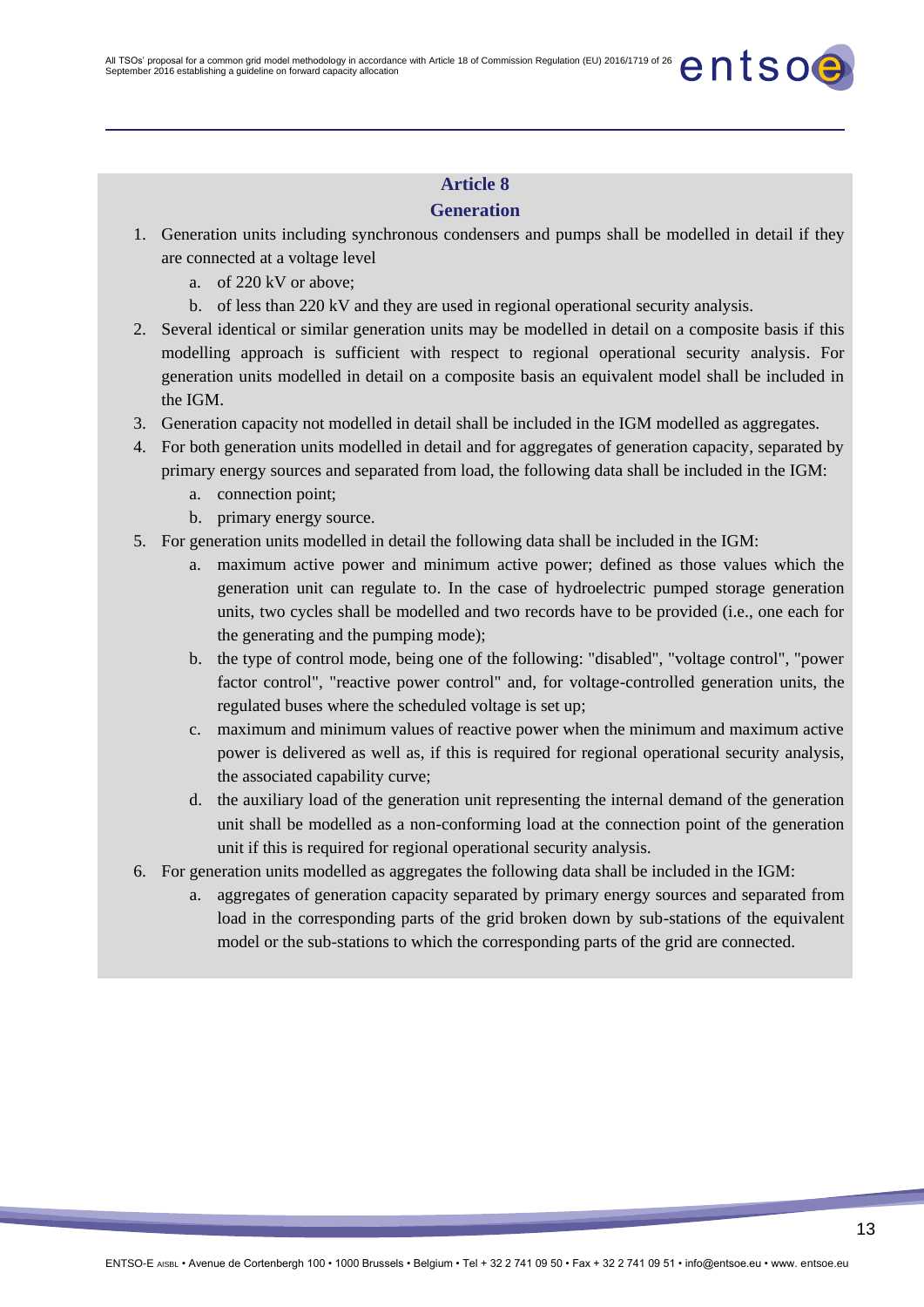### **Generation**

- 1. Generation units including synchronous condensers and pumps shall be modelled in detail if they are connected at a voltage level
	- a. of 220 kV or above;
	- b. of less than 220 kV and they are used in regional operational security analysis.
- 2. Several identical or similar generation units may be modelled in detail on a composite basis if this modelling approach is sufficient with respect to regional operational security analysis. For generation units modelled in detail on a composite basis an equivalent model shall be included in the IGM.
- 3. Generation capacity not modelled in detail shall be included in the IGM modelled as aggregates.
- 4. For both generation units modelled in detail and for aggregates of generation capacity, separated by primary energy sources and separated from load, the following data shall be included in the IGM:
	- a. connection point;
	- b. primary energy source.
- 5. For generation units modelled in detail the following data shall be included in the IGM:
	- a. maximum active power and minimum active power; defined as those values which the generation unit can regulate to. In the case of hydroelectric pumped storage generation units, two cycles shall be modelled and two records have to be provided (i.e., one each for the generating and the pumping mode);
	- b. the type of control mode, being one of the following: "disabled", "voltage control", "power factor control", "reactive power control" and, for voltage-controlled generation units, the regulated buses where the scheduled voltage is set up;
	- c. maximum and minimum values of reactive power when the minimum and maximum active power is delivered as well as, if this is required for regional operational security analysis, the associated capability curve;
	- d. the auxiliary load of the generation unit representing the internal demand of the generation unit shall be modelled as a non-conforming load at the connection point of the generation unit if this is required for regional operational security analysis.
- 6. For generation units modelled as aggregates the following data shall be included in the IGM:
	- a. aggregates of generation capacity separated by primary energy sources and separated from load in the corresponding parts of the grid broken down by sub-stations of the equivalent model or the sub-stations to which the corresponding parts of the grid are connected.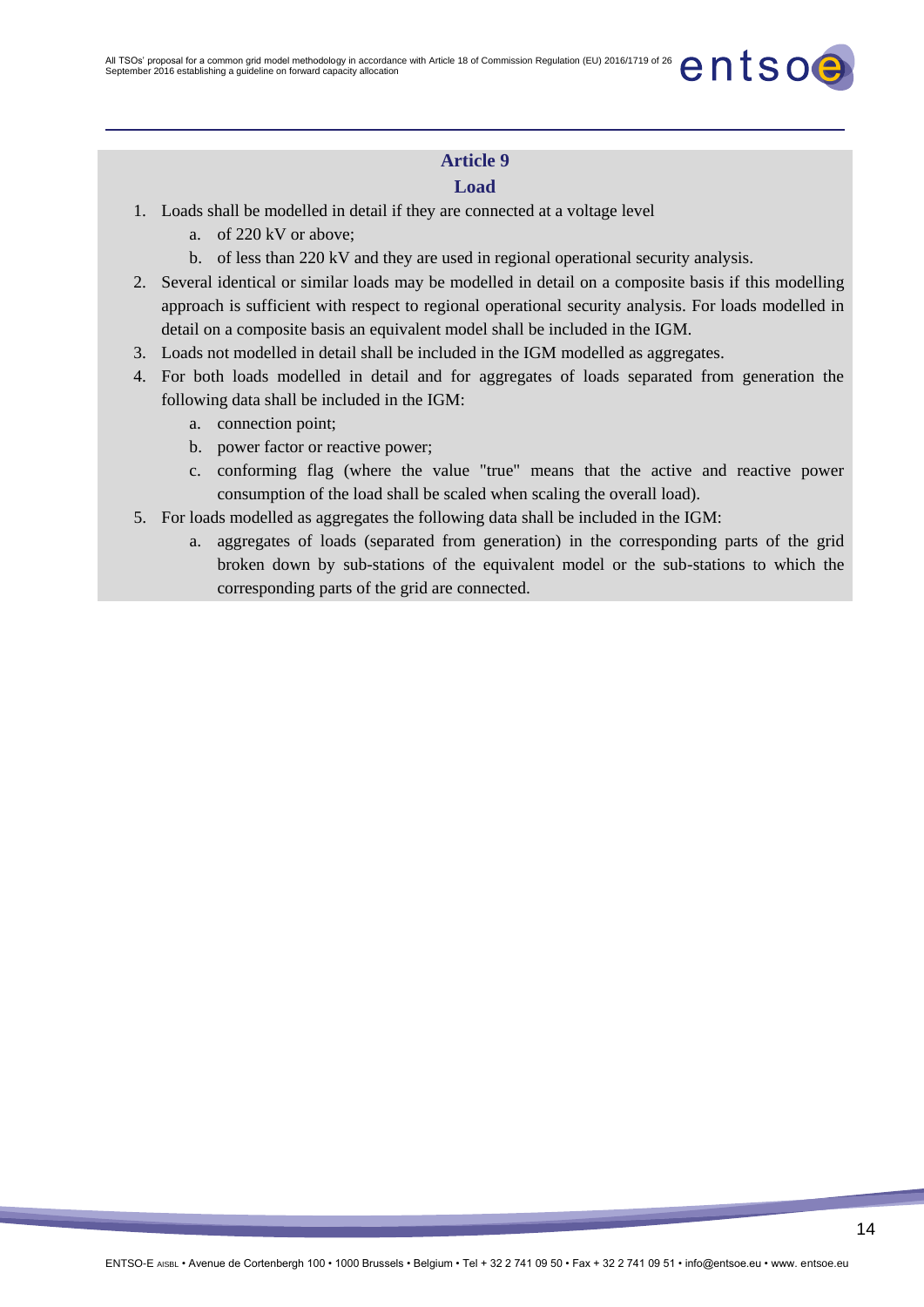### **Load**

- 1. Loads shall be modelled in detail if they are connected at a voltage level
	- a. of 220 kV or above;
	- b. of less than 220 kV and they are used in regional operational security analysis.
- 2. Several identical or similar loads may be modelled in detail on a composite basis if this modelling approach is sufficient with respect to regional operational security analysis. For loads modelled in detail on a composite basis an equivalent model shall be included in the IGM.
- 3. Loads not modelled in detail shall be included in the IGM modelled as aggregates.
- 4. For both loads modelled in detail and for aggregates of loads separated from generation the following data shall be included in the IGM:
	- a. connection point;
	- b. power factor or reactive power;
	- c. conforming flag (where the value "true" means that the active and reactive power consumption of the load shall be scaled when scaling the overall load).
- 5. For loads modelled as aggregates the following data shall be included in the IGM:
	- a. aggregates of loads (separated from generation) in the corresponding parts of the grid broken down by sub-stations of the equivalent model or the sub-stations to which the corresponding parts of the grid are connected.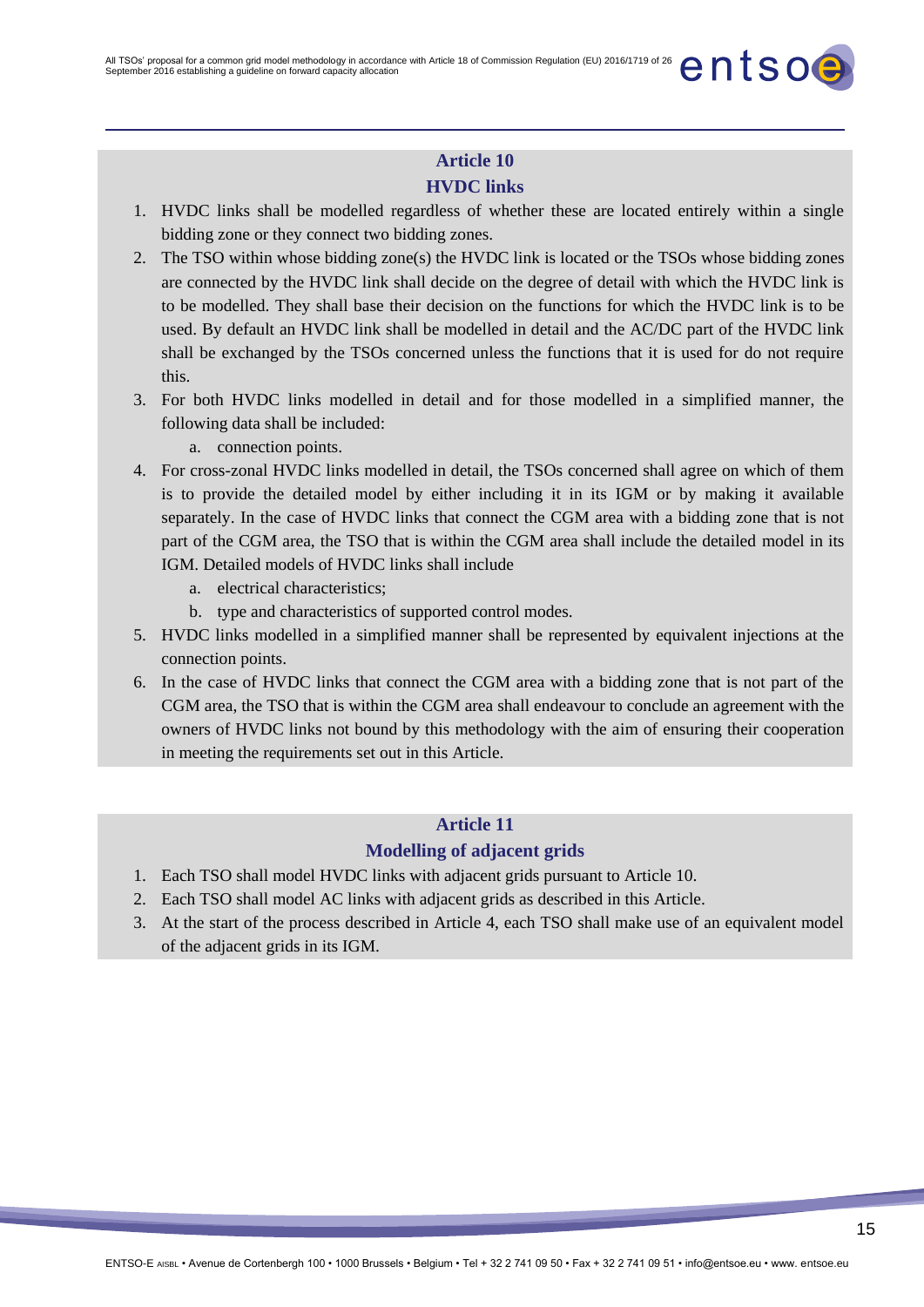## **HVDC links**

- 1. HVDC links shall be modelled regardless of whether these are located entirely within a single bidding zone or they connect two bidding zones.
- 2. The TSO within whose bidding zone(s) the HVDC link is located or the TSOs whose bidding zones are connected by the HVDC link shall decide on the degree of detail with which the HVDC link is to be modelled. They shall base their decision on the functions for which the HVDC link is to be used. By default an HVDC link shall be modelled in detail and the AC/DC part of the HVDC link shall be exchanged by the TSOs concerned unless the functions that it is used for do not require this.
- 3. For both HVDC links modelled in detail and for those modelled in a simplified manner, the following data shall be included:
	- a. connection points.
- 4. For cross-zonal HVDC links modelled in detail, the TSOs concerned shall agree on which of them is to provide the detailed model by either including it in its IGM or by making it available separately. In the case of HVDC links that connect the CGM area with a bidding zone that is not part of the CGM area, the TSO that is within the CGM area shall include the detailed model in its IGM. Detailed models of HVDC links shall include
	- a. electrical characteristics;
	- b. type and characteristics of supported control modes.
- 5. HVDC links modelled in a simplified manner shall be represented by equivalent injections at the connection points.
- 6. In the case of HVDC links that connect the CGM area with a bidding zone that is not part of the CGM area, the TSO that is within the CGM area shall endeavour to conclude an agreement with the owners of HVDC links not bound by this methodology with the aim of ensuring their cooperation in meeting the requirements set out in this Article.

### **Article 11**

### **Modelling of adjacent grids**

- 1. Each TSO shall model HVDC links with adjacent grids pursuant to Article 10.
- 2. Each TSO shall model AC links with adjacent grids as described in this Article.
- 3. At the start of the process described in Article 4, each TSO shall make use of an equivalent model of the adjacent grids in its IGM.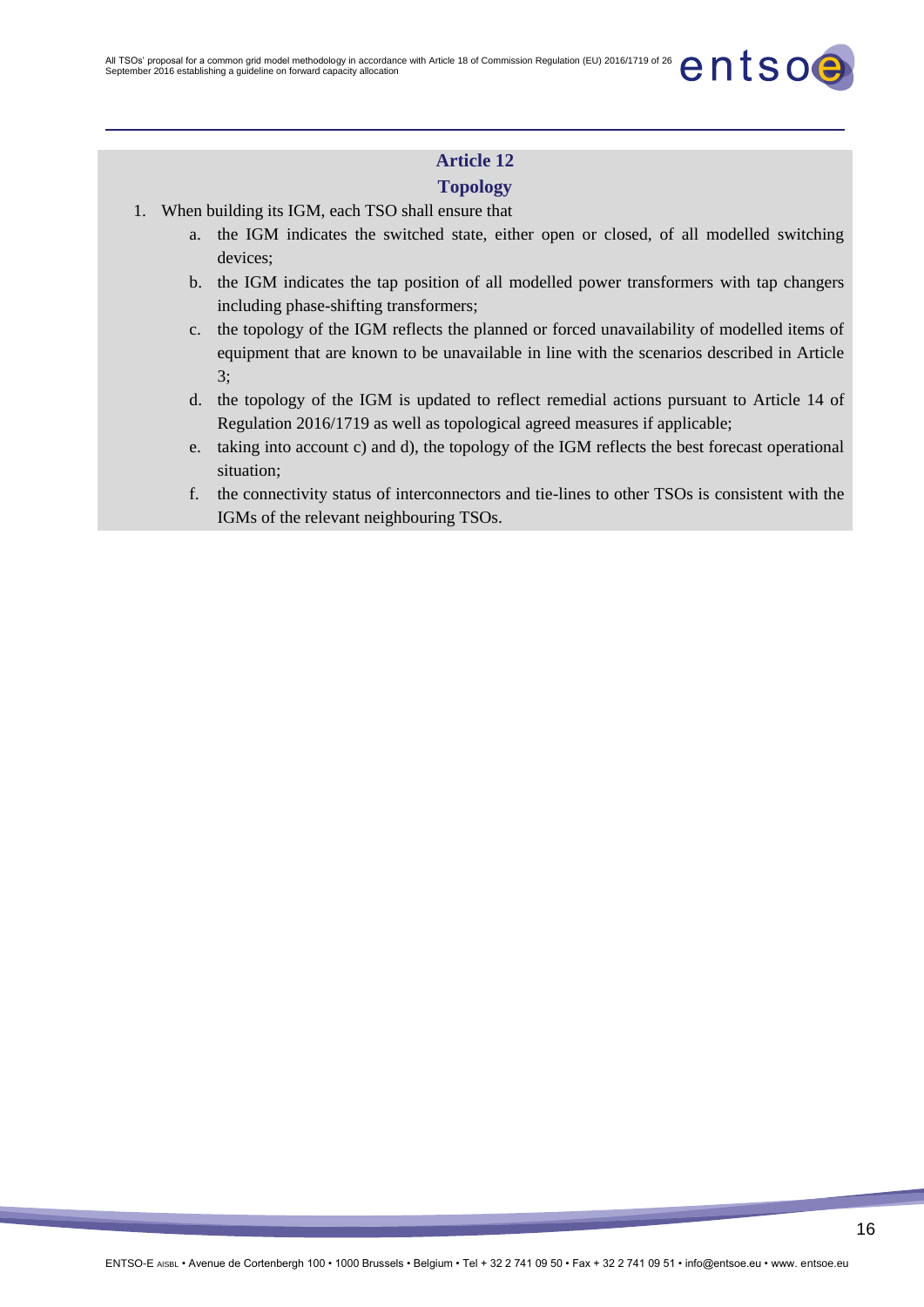### **Topology**

- 1. When building its IGM, each TSO shall ensure that
	- a. the IGM indicates the switched state, either open or closed, of all modelled switching devices;
	- b. the IGM indicates the tap position of all modelled power transformers with tap changers including phase-shifting transformers;
	- c. the topology of the IGM reflects the planned or forced unavailability of modelled items of equipment that are known to be unavailable in line with the scenarios described in Article 3;
	- d. the topology of the IGM is updated to reflect remedial actions pursuant to Article 14 of Regulation 2016/1719 as well as topological agreed measures if applicable;
	- e. taking into account c) and d), the topology of the IGM reflects the best forecast operational situation;
	- f. the connectivity status of interconnectors and tie-lines to other TSOs is consistent with the IGMs of the relevant neighbouring TSOs.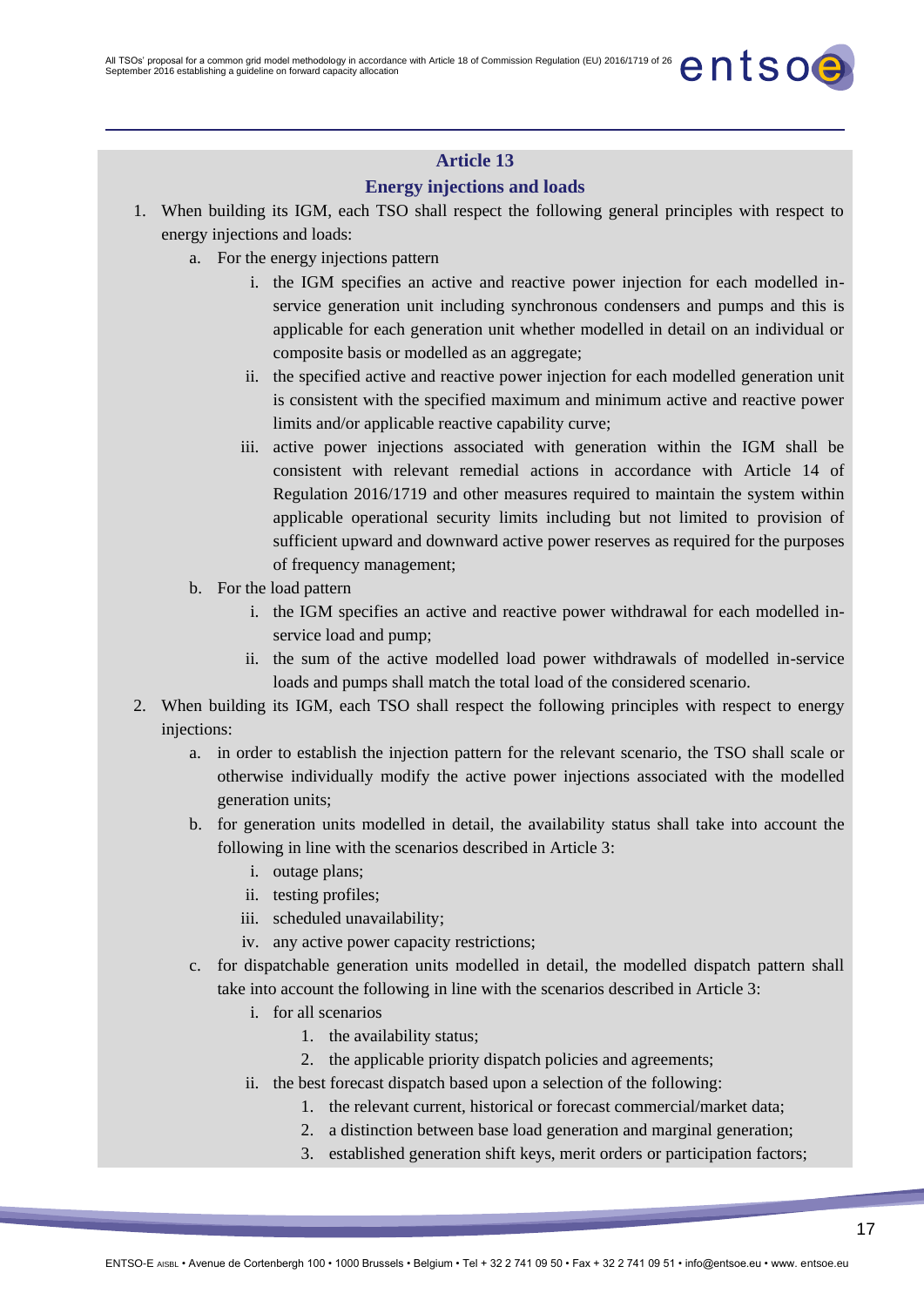### **Energy injections and loads**

- 1. When building its IGM, each TSO shall respect the following general principles with respect to energy injections and loads:
	- a. For the energy injections pattern
		- i. the IGM specifies an active and reactive power injection for each modelled inservice generation unit including synchronous condensers and pumps and this is applicable for each generation unit whether modelled in detail on an individual or composite basis or modelled as an aggregate;
		- ii. the specified active and reactive power injection for each modelled generation unit is consistent with the specified maximum and minimum active and reactive power limits and/or applicable reactive capability curve;
		- iii. active power injections associated with generation within the IGM shall be consistent with relevant remedial actions in accordance with Article 14 of Regulation 2016/1719 and other measures required to maintain the system within applicable operational security limits including but not limited to provision of sufficient upward and downward active power reserves as required for the purposes of frequency management;
	- b. For the load pattern
		- i. the IGM specifies an active and reactive power withdrawal for each modelled inservice load and pump;
		- ii. the sum of the active modelled load power withdrawals of modelled in-service loads and pumps shall match the total load of the considered scenario.
- 2. When building its IGM, each TSO shall respect the following principles with respect to energy injections:
	- a. in order to establish the injection pattern for the relevant scenario, the TSO shall scale or otherwise individually modify the active power injections associated with the modelled generation units;
	- b. for generation units modelled in detail, the availability status shall take into account the following in line with the scenarios described in Article 3:
		- i. outage plans;
		- ii. testing profiles;
		- iii. scheduled unavailability;
		- iv. any active power capacity restrictions;
	- c. for dispatchable generation units modelled in detail, the modelled dispatch pattern shall take into account the following in line with the scenarios described in Article 3:
		- i. for all scenarios
			- 1. the availability status;
			- 2. the applicable priority dispatch policies and agreements;
		- ii. the best forecast dispatch based upon a selection of the following:
			- 1. the relevant current, historical or forecast commercial/market data;
			- 2. a distinction between base load generation and marginal generation;
			- 3. established generation shift keys, merit orders or participation factors;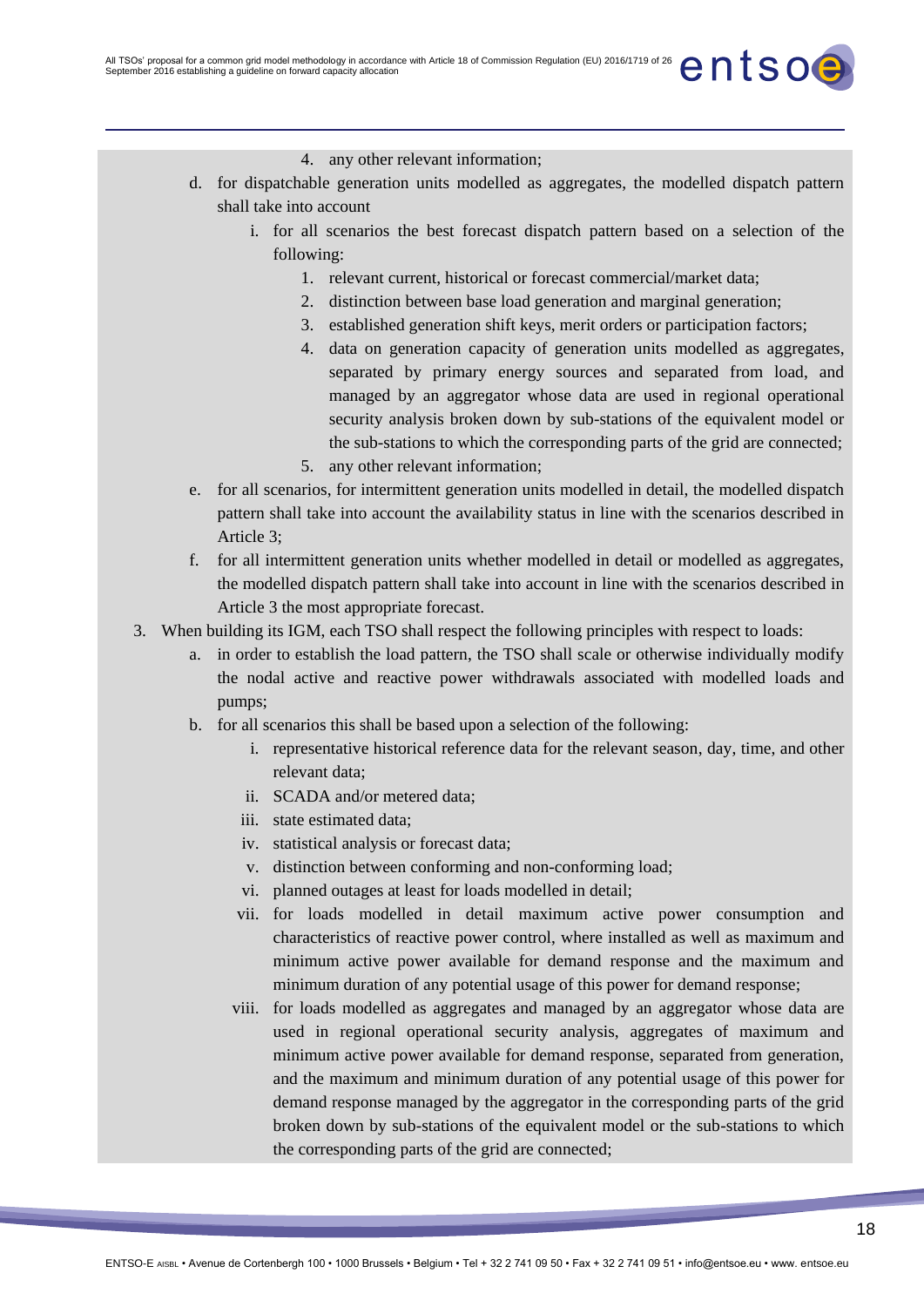- 4. any other relevant information;
- d. for dispatchable generation units modelled as aggregates, the modelled dispatch pattern shall take into account
	- i. for all scenarios the best forecast dispatch pattern based on a selection of the following:
		- 1. relevant current, historical or forecast commercial/market data;
		- 2. distinction between base load generation and marginal generation;
		- 3. established generation shift keys, merit orders or participation factors;
		- 4. data on generation capacity of generation units modelled as aggregates, separated by primary energy sources and separated from load, and managed by an aggregator whose data are used in regional operational security analysis broken down by sub-stations of the equivalent model or the sub-stations to which the corresponding parts of the grid are connected;
		- 5. any other relevant information;
- e. for all scenarios, for intermittent generation units modelled in detail, the modelled dispatch pattern shall take into account the availability status in line with the scenarios described in Article 3;
- f. for all intermittent generation units whether modelled in detail or modelled as aggregates, the modelled dispatch pattern shall take into account in line with the scenarios described in Article 3 the most appropriate forecast.
- 3. When building its IGM, each TSO shall respect the following principles with respect to loads:
	- a. in order to establish the load pattern, the TSO shall scale or otherwise individually modify the nodal active and reactive power withdrawals associated with modelled loads and pumps;
	- b. for all scenarios this shall be based upon a selection of the following:
		- i. representative historical reference data for the relevant season, day, time, and other relevant data;
		- ii. SCADA and/or metered data;
		- iii. state estimated data;
		- iv. statistical analysis or forecast data;
		- v. distinction between conforming and non-conforming load;
		- vi. planned outages at least for loads modelled in detail;
		- vii. for loads modelled in detail maximum active power consumption and characteristics of reactive power control, where installed as well as maximum and minimum active power available for demand response and the maximum and minimum duration of any potential usage of this power for demand response;
		- viii. for loads modelled as aggregates and managed by an aggregator whose data are used in regional operational security analysis, aggregates of maximum and minimum active power available for demand response, separated from generation, and the maximum and minimum duration of any potential usage of this power for demand response managed by the aggregator in the corresponding parts of the grid broken down by sub-stations of the equivalent model or the sub-stations to which the corresponding parts of the grid are connected;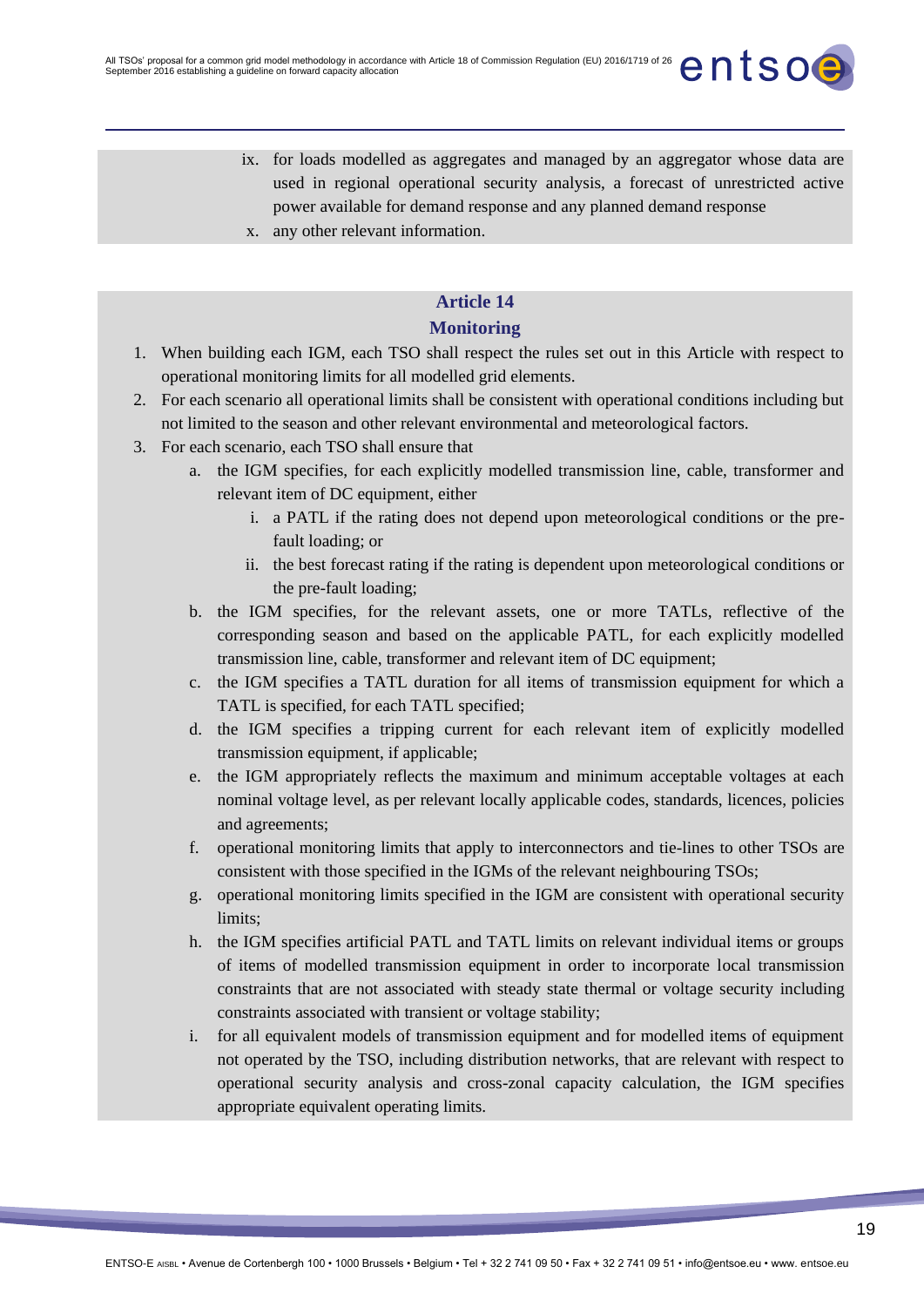- ix. for loads modelled as aggregates and managed by an aggregator whose data are used in regional operational security analysis, a forecast of unrestricted active power available for demand response and any planned demand response
- x. any other relevant information.

### **Monitoring**

- 1. When building each IGM, each TSO shall respect the rules set out in this Article with respect to operational monitoring limits for all modelled grid elements.
- 2. For each scenario all operational limits shall be consistent with operational conditions including but not limited to the season and other relevant environmental and meteorological factors.
- 3. For each scenario, each TSO shall ensure that
	- a. the IGM specifies, for each explicitly modelled transmission line, cable, transformer and relevant item of DC equipment, either
		- i. a PATL if the rating does not depend upon meteorological conditions or the prefault loading; or
		- ii. the best forecast rating if the rating is dependent upon meteorological conditions or the pre-fault loading;
	- b. the IGM specifies, for the relevant assets, one or more TATLs, reflective of the corresponding season and based on the applicable PATL, for each explicitly modelled transmission line, cable, transformer and relevant item of DC equipment;
	- c. the IGM specifies a TATL duration for all items of transmission equipment for which a TATL is specified, for each TATL specified;
	- d. the IGM specifies a tripping current for each relevant item of explicitly modelled transmission equipment, if applicable;
	- e. the IGM appropriately reflects the maximum and minimum acceptable voltages at each nominal voltage level, as per relevant locally applicable codes, standards, licences, policies and agreements;
	- f. operational monitoring limits that apply to interconnectors and tie-lines to other TSOs are consistent with those specified in the IGMs of the relevant neighbouring TSOs;
	- g. operational monitoring limits specified in the IGM are consistent with operational security limits;
	- h. the IGM specifies artificial PATL and TATL limits on relevant individual items or groups of items of modelled transmission equipment in order to incorporate local transmission constraints that are not associated with steady state thermal or voltage security including constraints associated with transient or voltage stability;
	- i. for all equivalent models of transmission equipment and for modelled items of equipment not operated by the TSO, including distribution networks, that are relevant with respect to operational security analysis and cross-zonal capacity calculation, the IGM specifies appropriate equivalent operating limits.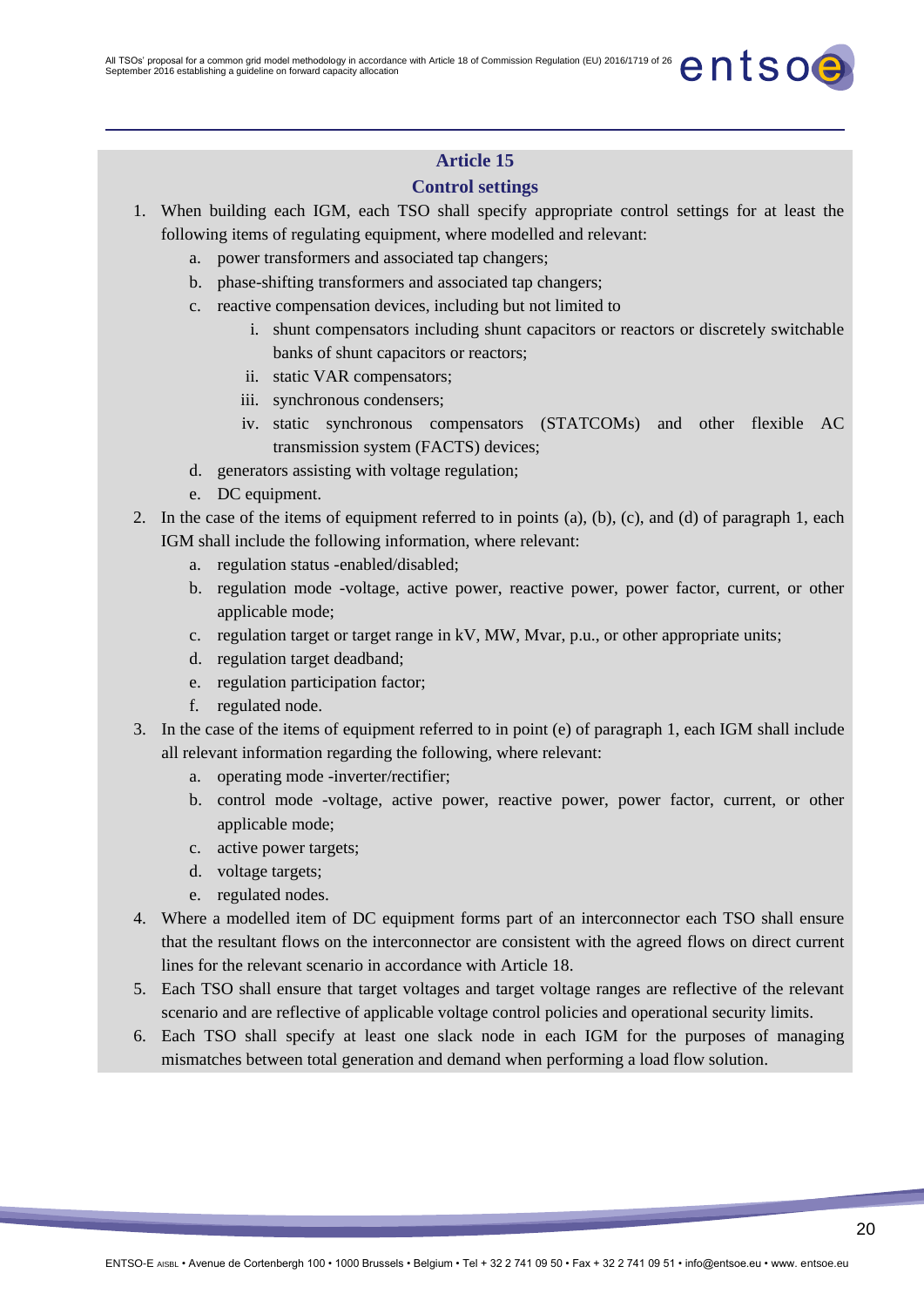### **Control settings**

- 1. When building each IGM, each TSO shall specify appropriate control settings for at least the following items of regulating equipment, where modelled and relevant:
	- a. power transformers and associated tap changers;
	- b. phase-shifting transformers and associated tap changers;
	- c. reactive compensation devices, including but not limited to
		- i. shunt compensators including shunt capacitors or reactors or discretely switchable banks of shunt capacitors or reactors;
		- ii. static VAR compensators;
		- iii. synchronous condensers;
		- iv. static synchronous compensators (STATCOMs) and other flexible AC transmission system (FACTS) devices;
	- d. generators assisting with voltage regulation;
	- e. DC equipment.
- 2. In the case of the items of equipment referred to in points (a), (b), (c), and (d) of paragraph 1, each IGM shall include the following information, where relevant:
	- a. regulation status -enabled/disabled;
	- b. regulation mode -voltage, active power, reactive power, power factor, current, or other applicable mode;
	- c. regulation target or target range in kV, MW, Mvar, p.u., or other appropriate units;
	- d. regulation target deadband;
	- e. regulation participation factor;
	- f. regulated node.
- 3. In the case of the items of equipment referred to in point (e) of paragraph 1, each IGM shall include all relevant information regarding the following, where relevant:
	- a. operating mode -inverter/rectifier;
	- b. control mode -voltage, active power, reactive power, power factor, current, or other applicable mode;
	- c. active power targets;
	- d. voltage targets;
	- e. regulated nodes.
- 4. Where a modelled item of DC equipment forms part of an interconnector each TSO shall ensure that the resultant flows on the interconnector are consistent with the agreed flows on direct current lines for the relevant scenario in accordance with Article 18.
- 5. Each TSO shall ensure that target voltages and target voltage ranges are reflective of the relevant scenario and are reflective of applicable voltage control policies and operational security limits.
- 6. Each TSO shall specify at least one slack node in each IGM for the purposes of managing mismatches between total generation and demand when performing a load flow solution.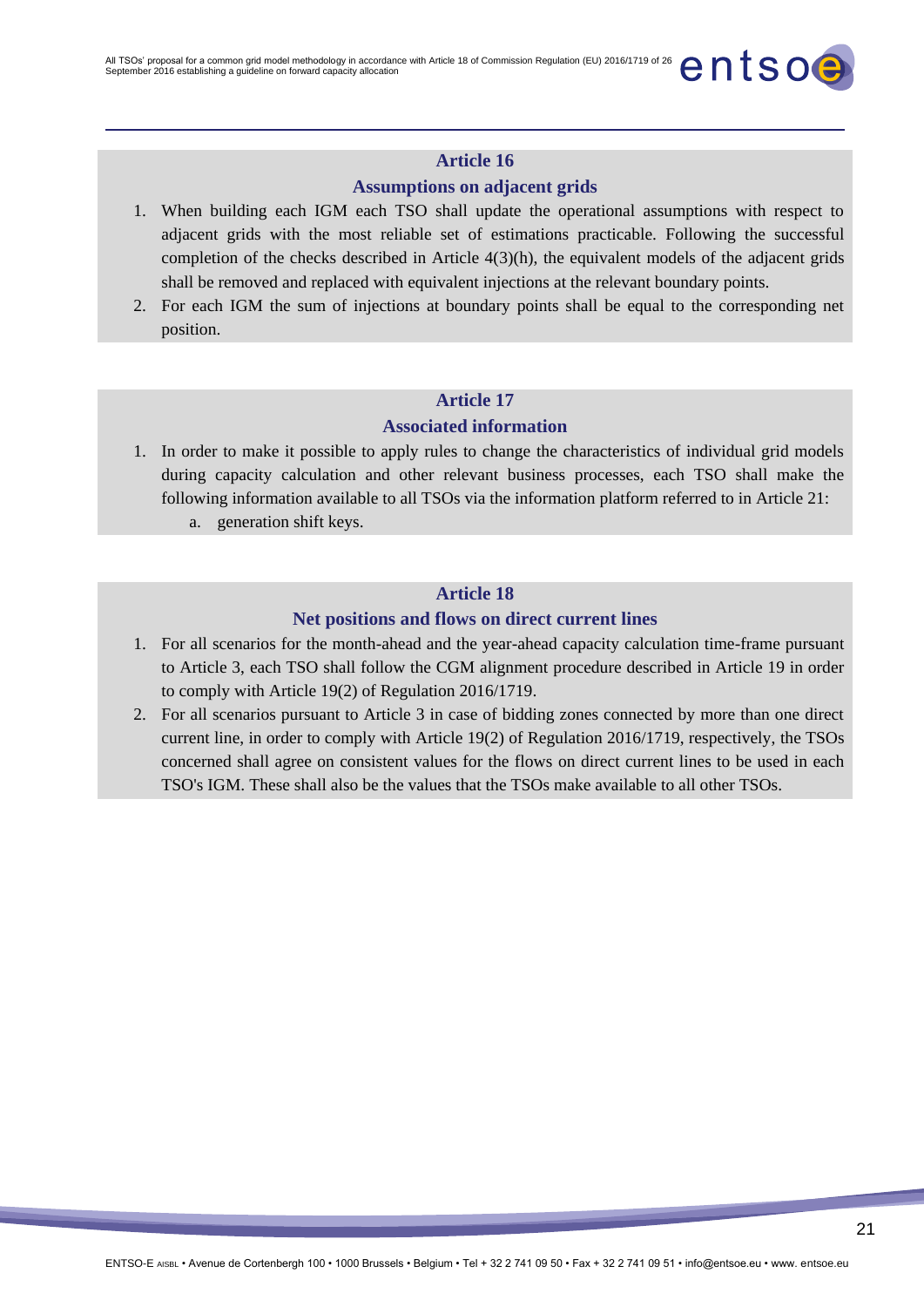### **Assumptions on adjacent grids**

- 1. When building each IGM each TSO shall update the operational assumptions with respect to adjacent grids with the most reliable set of estimations practicable. Following the successful completion of the checks described in Article  $4(3)(h)$ , the equivalent models of the adjacent grids shall be removed and replaced with equivalent injections at the relevant boundary points.
- 2. For each IGM the sum of injections at boundary points shall be equal to the corresponding net position.

### **Article 17**

#### **Associated information**

- 1. In order to make it possible to apply rules to change the characteristics of individual grid models during capacity calculation and other relevant business processes, each TSO shall make the following information available to all TSOs via the information platform referred to in Article 21:
	- a. generation shift keys.

#### **Article 18**

#### **Net positions and flows on direct current lines**

- 1. For all scenarios for the month-ahead and the year-ahead capacity calculation time-frame pursuant to Article 3, each TSO shall follow the CGM alignment procedure described in Article 19 in order to comply with Article 19(2) of Regulation 2016/1719.
- 2. For all scenarios pursuant to Article 3 in case of bidding zones connected by more than one direct current line, in order to comply with Article 19(2) of Regulation 2016/1719, respectively, the TSOs concerned shall agree on consistent values for the flows on direct current lines to be used in each TSO's IGM. These shall also be the values that the TSOs make available to all other TSOs.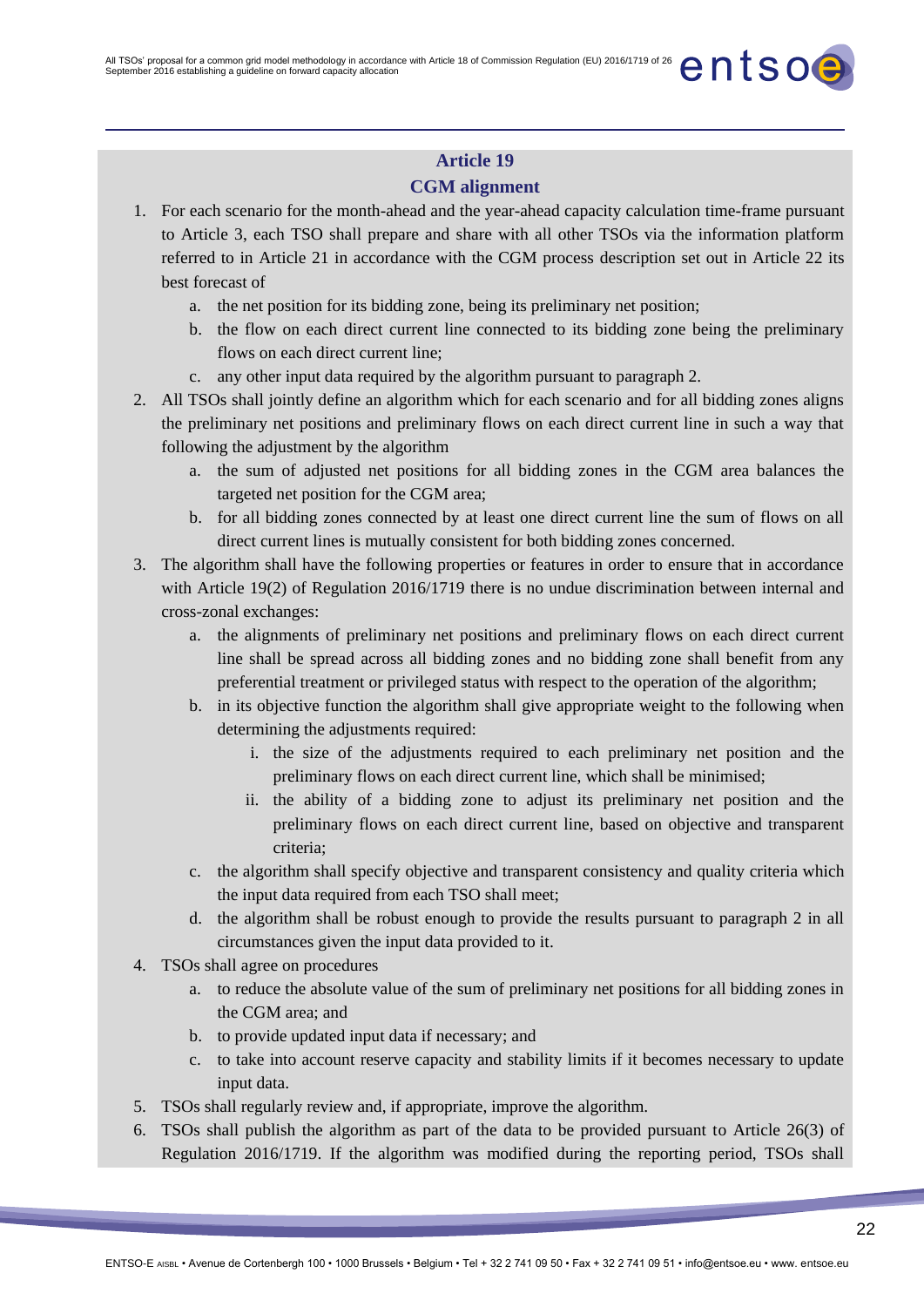### **CGM alignment**

- 1. For each scenario for the month-ahead and the year-ahead capacity calculation time-frame pursuant to Article 3, each TSO shall prepare and share with all other TSOs via the information platform referred to in Article 21 in accordance with the CGM process description set out in Article 22 its best forecast of
	- a. the net position for its bidding zone, being its preliminary net position;
	- b. the flow on each direct current line connected to its bidding zone being the preliminary flows on each direct current line;
	- c. any other input data required by the algorithm pursuant to paragraph 2.
- 2. All TSOs shall jointly define an algorithm which for each scenario and for all bidding zones aligns the preliminary net positions and preliminary flows on each direct current line in such a way that following the adjustment by the algorithm
	- a. the sum of adjusted net positions for all bidding zones in the CGM area balances the targeted net position for the CGM area;
	- b. for all bidding zones connected by at least one direct current line the sum of flows on all direct current lines is mutually consistent for both bidding zones concerned.
- 3. The algorithm shall have the following properties or features in order to ensure that in accordance with Article 19(2) of Regulation 2016/1719 there is no undue discrimination between internal and cross-zonal exchanges:
	- a. the alignments of preliminary net positions and preliminary flows on each direct current line shall be spread across all bidding zones and no bidding zone shall benefit from any preferential treatment or privileged status with respect to the operation of the algorithm;
	- b. in its objective function the algorithm shall give appropriate weight to the following when determining the adjustments required:
		- i. the size of the adjustments required to each preliminary net position and the preliminary flows on each direct current line, which shall be minimised;
		- ii. the ability of a bidding zone to adjust its preliminary net position and the preliminary flows on each direct current line, based on objective and transparent criteria;
	- c. the algorithm shall specify objective and transparent consistency and quality criteria which the input data required from each TSO shall meet;
	- d. the algorithm shall be robust enough to provide the results pursuant to paragraph 2 in all circumstances given the input data provided to it.
- 4. TSOs shall agree on procedures
	- a. to reduce the absolute value of the sum of preliminary net positions for all bidding zones in the CGM area; and
	- b. to provide updated input data if necessary; and
	- c. to take into account reserve capacity and stability limits if it becomes necessary to update input data.
- 5. TSOs shall regularly review and, if appropriate, improve the algorithm.
- 6. TSOs shall publish the algorithm as part of the data to be provided pursuant to Article 26(3) of Regulation 2016/1719. If the algorithm was modified during the reporting period, TSOs shall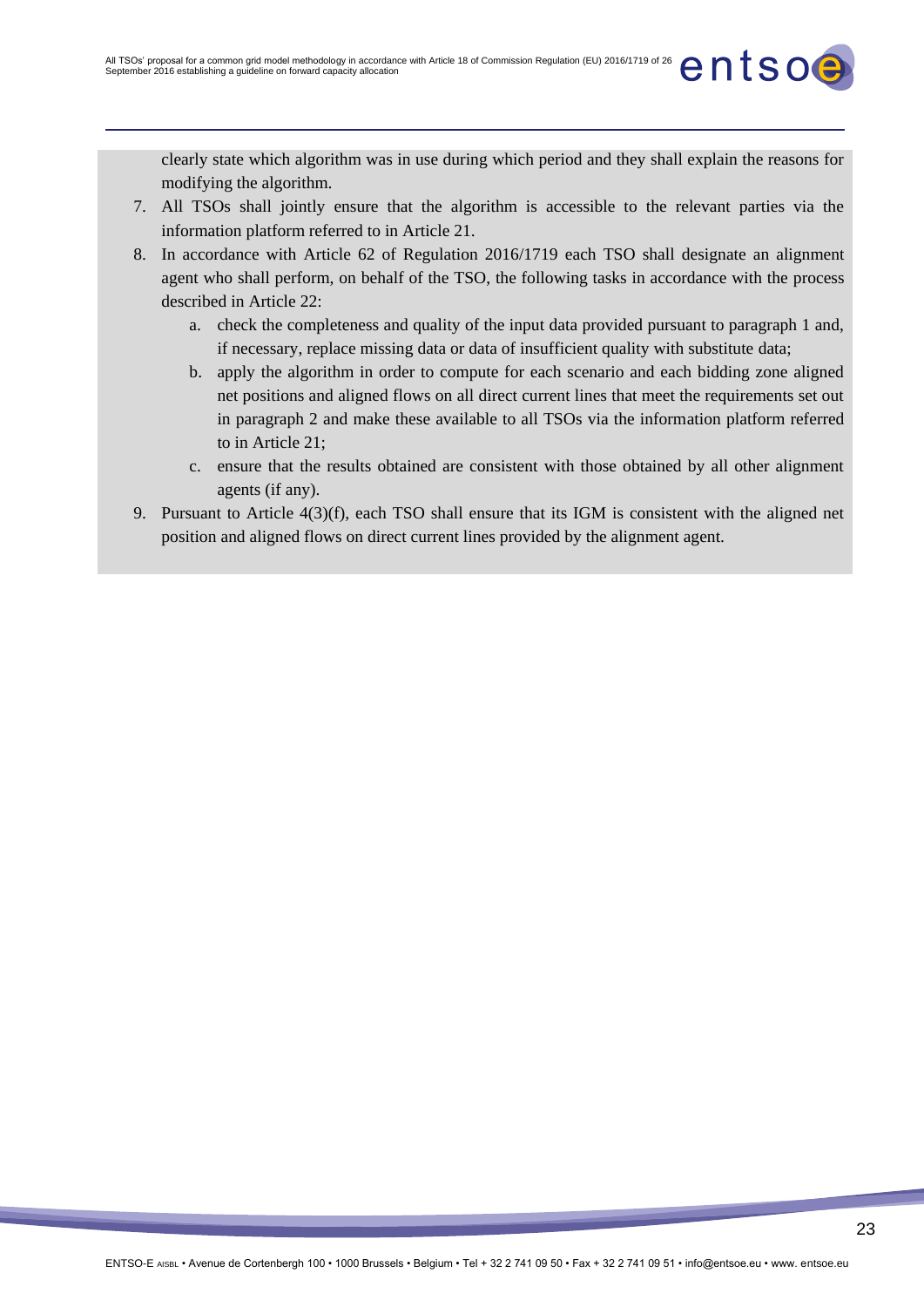clearly state which algorithm was in use during which period and they shall explain the reasons for modifying the algorithm.

- 7. All TSOs shall jointly ensure that the algorithm is accessible to the relevant parties via the information platform referred to in Article 21.
- 8. In accordance with Article 62 of Regulation 2016/1719 each TSO shall designate an alignment agent who shall perform, on behalf of the TSO, the following tasks in accordance with the process described in Article 22:
	- a. check the completeness and quality of the input data provided pursuant to paragraph 1 and, if necessary, replace missing data or data of insufficient quality with substitute data;
	- b. apply the algorithm in order to compute for each scenario and each bidding zone aligned net positions and aligned flows on all direct current lines that meet the requirements set out in paragraph 2 and make these available to all TSOs via the information platform referred to in Article 21;
	- c. ensure that the results obtained are consistent with those obtained by all other alignment agents (if any).
- 9. Pursuant to Article 4(3)(f), each TSO shall ensure that its IGM is consistent with the aligned net position and aligned flows on direct current lines provided by the alignment agent.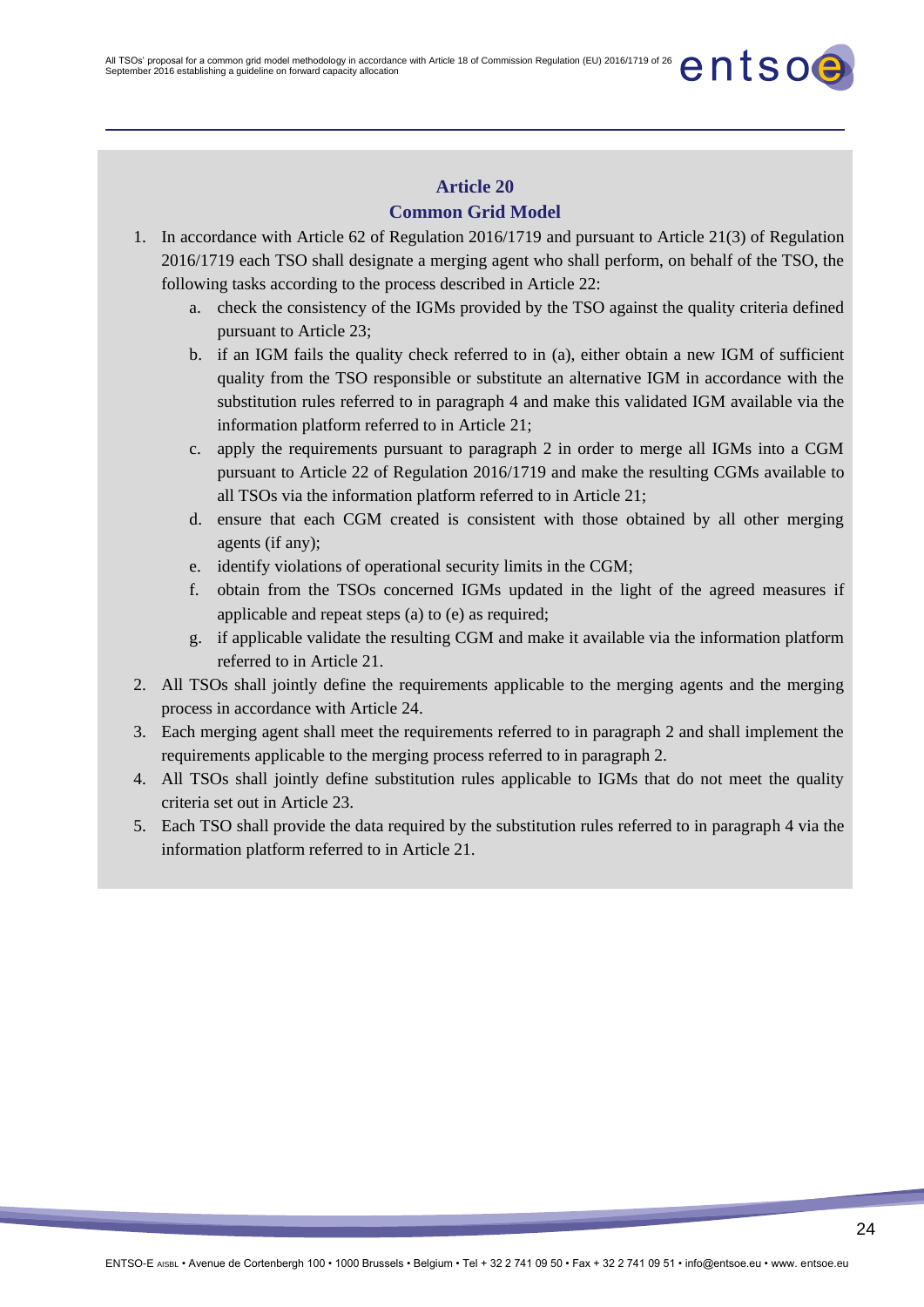### **Common Grid Model**

- 1. In accordance with Article 62 of Regulation 2016/1719 and pursuant to Article 21(3) of Regulation 2016/1719 each TSO shall designate a merging agent who shall perform, on behalf of the TSO, the following tasks according to the process described in Article 22:
	- a. check the consistency of the IGMs provided by the TSO against the quality criteria defined pursuant to Article 23;
	- b. if an IGM fails the quality check referred to in (a), either obtain a new IGM of sufficient quality from the TSO responsible or substitute an alternative IGM in accordance with the substitution rules referred to in paragraph 4 and make this validated IGM available via the information platform referred to in Article 21;
	- c. apply the requirements pursuant to paragraph 2 in order to merge all IGMs into a CGM pursuant to Article 22 of Regulation 2016/1719 and make the resulting CGMs available to all TSOs via the information platform referred to in Article 21;
	- d. ensure that each CGM created is consistent with those obtained by all other merging agents (if any);
	- e. identify violations of operational security limits in the CGM;
	- f. obtain from the TSOs concerned IGMs updated in the light of the agreed measures if applicable and repeat steps (a) to (e) as required;
	- g. if applicable validate the resulting CGM and make it available via the information platform referred to in Article 21.
- 2. All TSOs shall jointly define the requirements applicable to the merging agents and the merging process in accordance with Article 24.
- 3. Each merging agent shall meet the requirements referred to in paragraph 2 and shall implement the requirements applicable to the merging process referred to in paragraph 2.
- 4. All TSOs shall jointly define substitution rules applicable to IGMs that do not meet the quality criteria set out in Article 23.
- 5. Each TSO shall provide the data required by the substitution rules referred to in paragraph 4 via the information platform referred to in Article 21.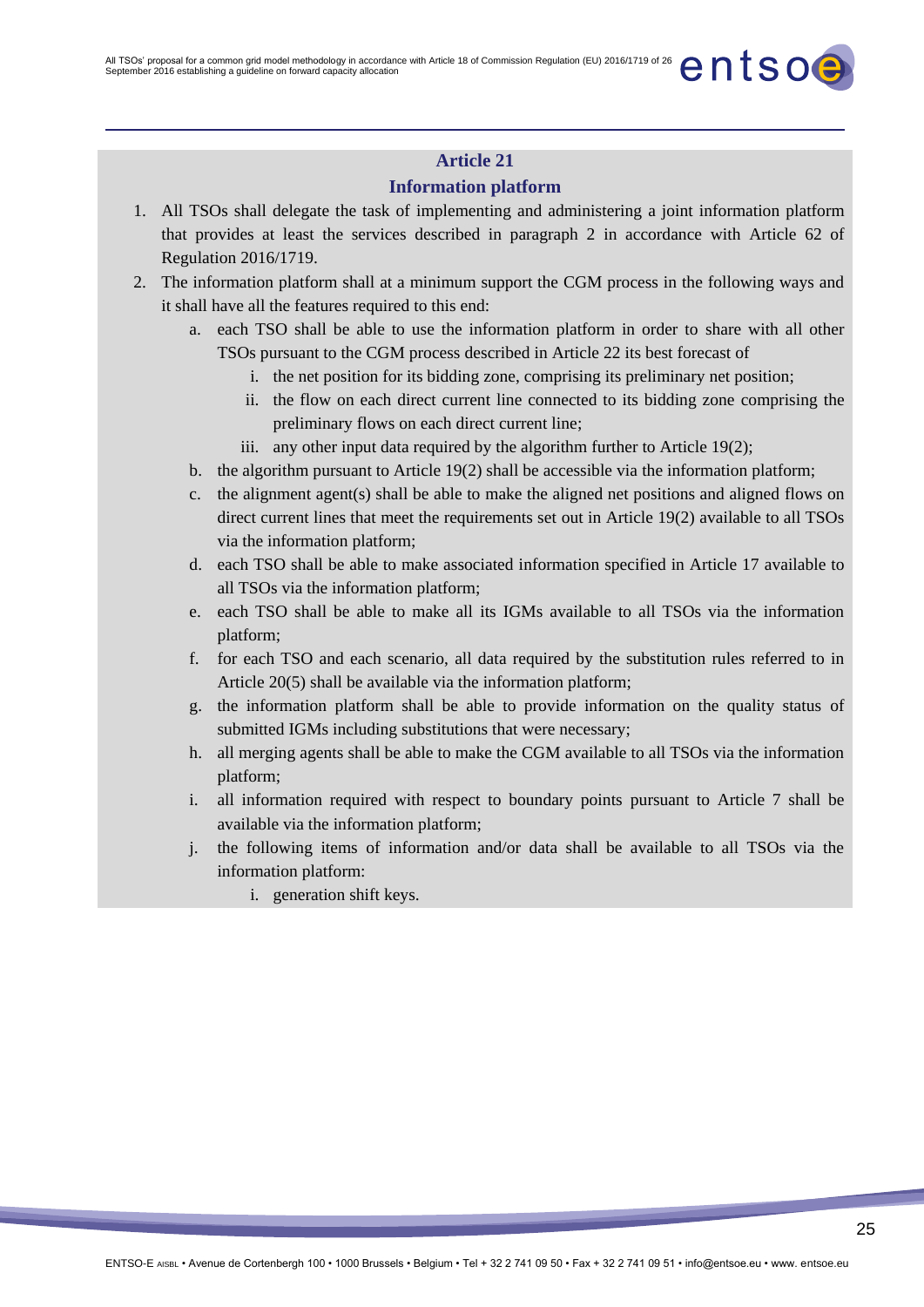### **Information platform**

- 1. All TSOs shall delegate the task of implementing and administering a joint information platform that provides at least the services described in paragraph 2 in accordance with Article 62 of Regulation 2016/1719.
- 2. The information platform shall at a minimum support the CGM process in the following ways and it shall have all the features required to this end:
	- a. each TSO shall be able to use the information platform in order to share with all other TSOs pursuant to the CGM process described in Article 22 its best forecast of
		- i. the net position for its bidding zone, comprising its preliminary net position;
		- ii. the flow on each direct current line connected to its bidding zone comprising the preliminary flows on each direct current line;
		- iii. any other input data required by the algorithm further to Article 19(2);
	- b. the algorithm pursuant to Article 19(2) shall be accessible via the information platform;
	- c. the alignment agent(s) shall be able to make the aligned net positions and aligned flows on direct current lines that meet the requirements set out in Article 19(2) available to all TSOs via the information platform;
	- d. each TSO shall be able to make associated information specified in Article 17 available to all TSOs via the information platform;
	- e. each TSO shall be able to make all its IGMs available to all TSOs via the information platform;
	- f. for each TSO and each scenario, all data required by the substitution rules referred to in Article 20(5) shall be available via the information platform;
	- g. the information platform shall be able to provide information on the quality status of submitted IGMs including substitutions that were necessary;
	- h. all merging agents shall be able to make the CGM available to all TSOs via the information platform;
	- i. all information required with respect to boundary points pursuant to Article 7 shall be available via the information platform;
	- j. the following items of information and/or data shall be available to all TSOs via the information platform:
		- i. generation shift keys.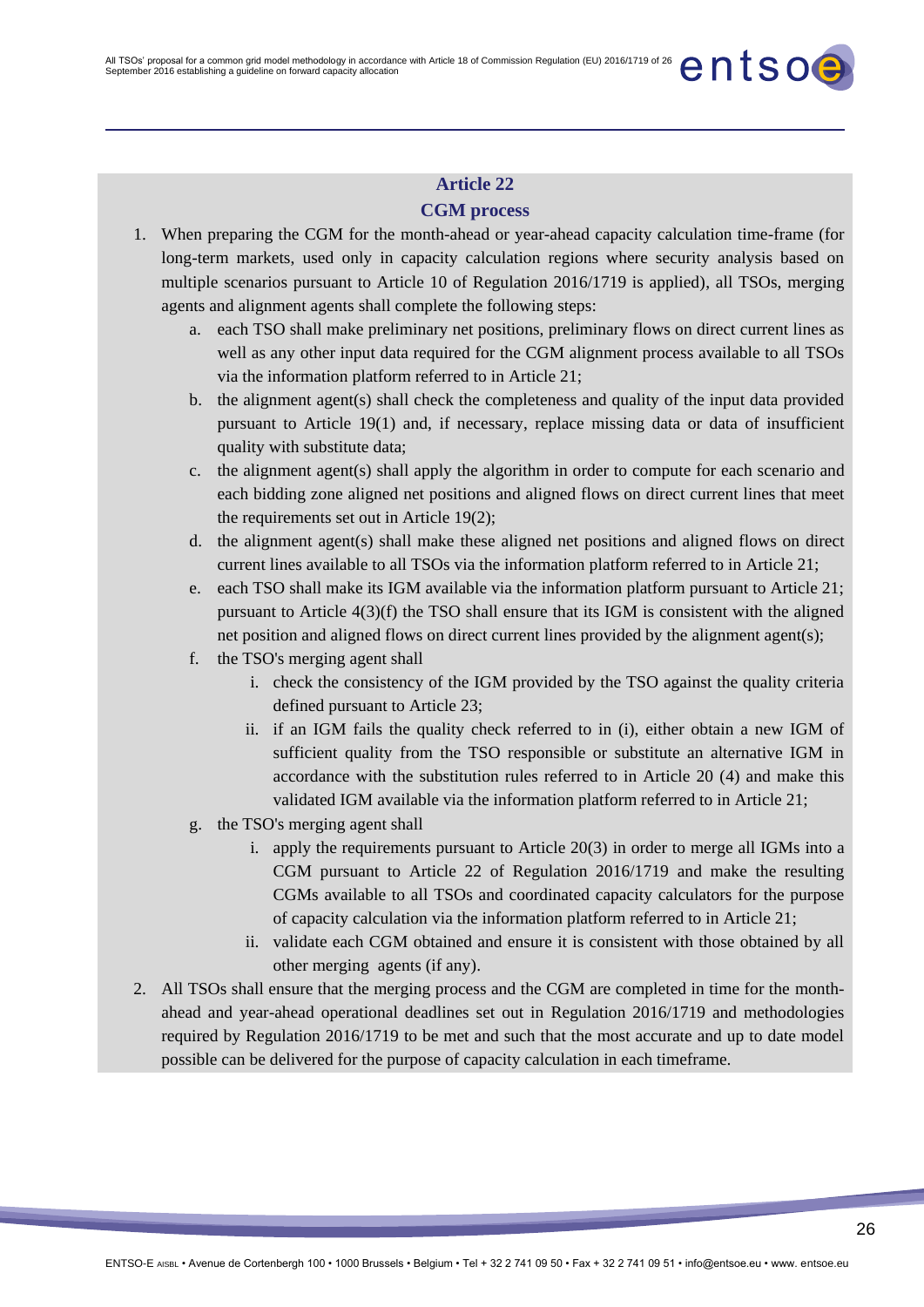## **Article 22 CGM process**

- 1. When preparing the CGM for the month-ahead or year-ahead capacity calculation time-frame (for long-term markets, used only in capacity calculation regions where security analysis based on multiple scenarios pursuant to Article 10 of Regulation 2016/1719 is applied), all TSOs, merging agents and alignment agents shall complete the following steps:
	- a. each TSO shall make preliminary net positions, preliminary flows on direct current lines as well as any other input data required for the CGM alignment process available to all TSOs via the information platform referred to in Article 21;
	- b. the alignment agent(s) shall check the completeness and quality of the input data provided pursuant to Article 19(1) and, if necessary, replace missing data or data of insufficient quality with substitute data;
	- c. the alignment agent(s) shall apply the algorithm in order to compute for each scenario and each bidding zone aligned net positions and aligned flows on direct current lines that meet the requirements set out in Article 19(2);
	- d. the alignment agent(s) shall make these aligned net positions and aligned flows on direct current lines available to all TSOs via the information platform referred to in Article 21;
	- e. each TSO shall make its IGM available via the information platform pursuant to Article 21; pursuant to Article  $4(3)(f)$  the TSO shall ensure that its IGM is consistent with the aligned net position and aligned flows on direct current lines provided by the alignment agent(s);
	- f. the TSO's merging agent shall
		- i. check the consistency of the IGM provided by the TSO against the quality criteria defined pursuant to Article 23;
		- ii. if an IGM fails the quality check referred to in (i), either obtain a new IGM of sufficient quality from the TSO responsible or substitute an alternative IGM in accordance with the substitution rules referred to in Article 20 (4) and make this validated IGM available via the information platform referred to in Article 21;
	- g. the TSO's merging agent shall
		- i. apply the requirements pursuant to Article 20(3) in order to merge all IGMs into a CGM pursuant to Article 22 of Regulation 2016/1719 and make the resulting CGMs available to all TSOs and coordinated capacity calculators for the purpose of capacity calculation via the information platform referred to in Article 21;
		- ii. validate each CGM obtained and ensure it is consistent with those obtained by all other merging agents (if any).
- 2. All TSOs shall ensure that the merging process and the CGM are completed in time for the monthahead and year-ahead operational deadlines set out in Regulation 2016/1719 and methodologies required by Regulation 2016/1719 to be met and such that the most accurate and up to date model possible can be delivered for the purpose of capacity calculation in each timeframe.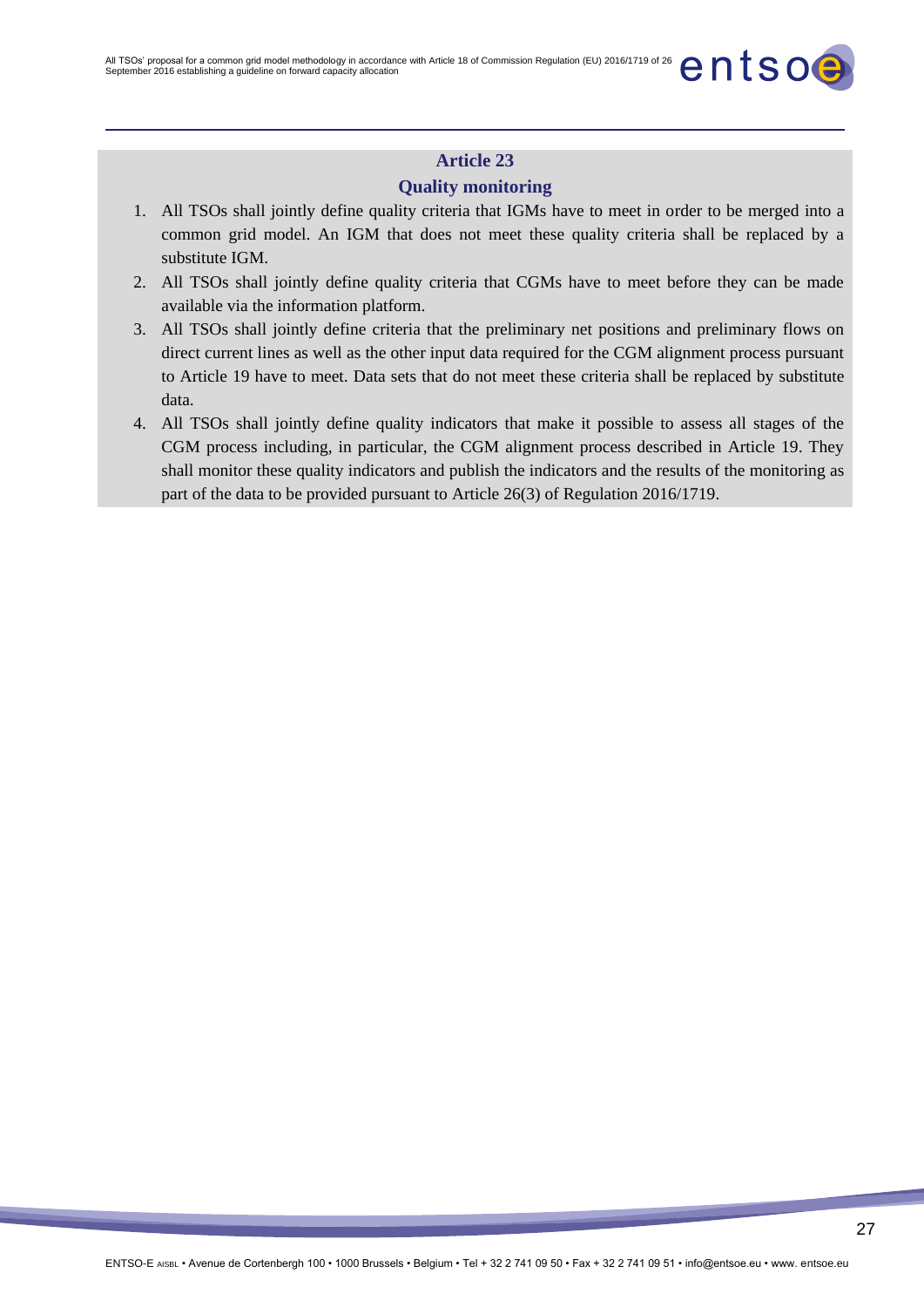### **Quality monitoring**

- 1. All TSOs shall jointly define quality criteria that IGMs have to meet in order to be merged into a common grid model. An IGM that does not meet these quality criteria shall be replaced by a substitute IGM.
- 2. All TSOs shall jointly define quality criteria that CGMs have to meet before they can be made available via the information platform.
- 3. All TSOs shall jointly define criteria that the preliminary net positions and preliminary flows on direct current lines as well as the other input data required for the CGM alignment process pursuant to Article 19 have to meet. Data sets that do not meet these criteria shall be replaced by substitute data.
- 4. All TSOs shall jointly define quality indicators that make it possible to assess all stages of the CGM process including, in particular, the CGM alignment process described in Article 19. They shall monitor these quality indicators and publish the indicators and the results of the monitoring as part of the data to be provided pursuant to Article 26(3) of Regulation 2016/1719.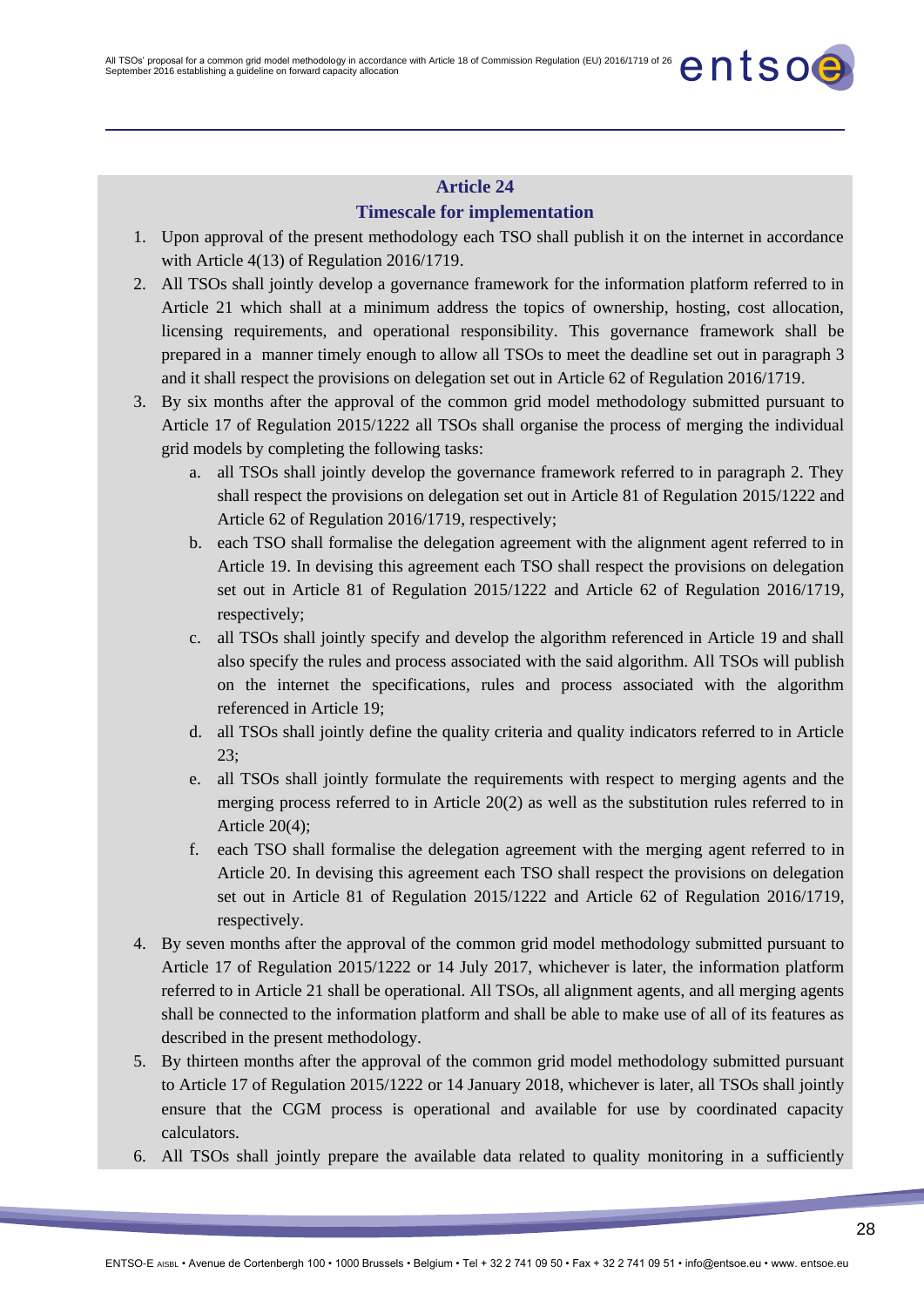### **Timescale for implementation**

- 1. Upon approval of the present methodology each TSO shall publish it on the internet in accordance with Article 4(13) of Regulation 2016/1719.
- 2. All TSOs shall jointly develop a governance framework for the information platform referred to in Article 21 which shall at a minimum address the topics of ownership, hosting, cost allocation, licensing requirements, and operational responsibility. This governance framework shall be prepared in a manner timely enough to allow all TSOs to meet the deadline set out in paragraph 3 and it shall respect the provisions on delegation set out in Article 62 of Regulation 2016/1719.
- 3. By six months after the approval of the common grid model methodology submitted pursuant to Article 17 of Regulation 2015/1222 all TSOs shall organise the process of merging the individual grid models by completing the following tasks:
	- a. all TSOs shall jointly develop the governance framework referred to in paragraph 2. They shall respect the provisions on delegation set out in Article 81 of Regulation 2015/1222 and Article 62 of Regulation 2016/1719, respectively;
	- b. each TSO shall formalise the delegation agreement with the alignment agent referred to in Article 19. In devising this agreement each TSO shall respect the provisions on delegation set out in Article 81 of Regulation 2015/1222 and Article 62 of Regulation 2016/1719, respectively;
	- c. all TSOs shall jointly specify and develop the algorithm referenced in Article 19 and shall also specify the rules and process associated with the said algorithm. All TSOs will publish on the internet the specifications, rules and process associated with the algorithm referenced in Article 19;
	- d. all TSOs shall jointly define the quality criteria and quality indicators referred to in Article 23;
	- e. all TSOs shall jointly formulate the requirements with respect to merging agents and the merging process referred to in Article 20(2) as well as the substitution rules referred to in Article 20(4);
	- f. each TSO shall formalise the delegation agreement with the merging agent referred to in Article 20. In devising this agreement each TSO shall respect the provisions on delegation set out in Article 81 of Regulation 2015/1222 and Article 62 of Regulation 2016/1719, respectively.
- 4. By seven months after the approval of the common grid model methodology submitted pursuant to Article 17 of Regulation 2015/1222 or 14 July 2017, whichever is later, the information platform referred to in Article 21 shall be operational. All TSOs, all alignment agents, and all merging agents shall be connected to the information platform and shall be able to make use of all of its features as described in the present methodology.
- 5. By thirteen months after the approval of the common grid model methodology submitted pursuant to Article 17 of Regulation 2015/1222 or 14 January 2018, whichever is later, all TSOs shall jointly ensure that the CGM process is operational and available for use by coordinated capacity calculators.
- 6. All TSOs shall jointly prepare the available data related to quality monitoring in a sufficiently